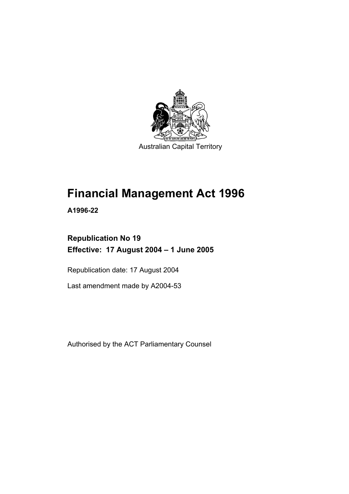

Australian Capital Territory

# **Financial Management Act 1996**

**A1996-22** 

# **Republication No 19 Effective: 17 August 2004 – 1 June 2005**

Republication date: 17 August 2004

Last amendment made by A2004-53

Authorised by the ACT Parliamentary Counsel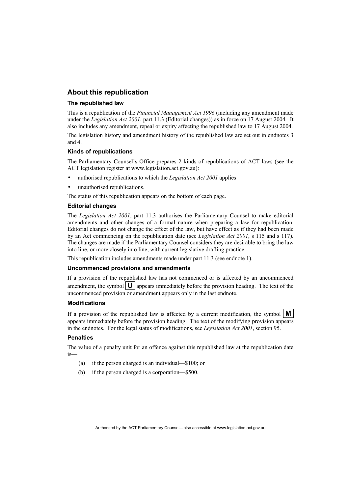#### **About this republication**

#### **The republished law**

This is a republication of the *Financial Management Act 1996* (including any amendment made under the *Legislation Act 2001*, part 11.3 (Editorial changes)) as in force on 17 August 2004*.* It also includes any amendment, repeal or expiry affecting the republished law to 17 August 2004.

The legislation history and amendment history of the republished law are set out in endnotes 3 and 4.

#### **Kinds of republications**

The Parliamentary Counsel's Office prepares 2 kinds of republications of ACT laws (see the ACT legislation register at www.legislation.act.gov.au):

- authorised republications to which the *Legislation Act 2001* applies
- unauthorised republications.

The status of this republication appears on the bottom of each page.

#### **Editorial changes**

The *Legislation Act 2001*, part 11.3 authorises the Parliamentary Counsel to make editorial amendments and other changes of a formal nature when preparing a law for republication. Editorial changes do not change the effect of the law, but have effect as if they had been made by an Act commencing on the republication date (see *Legislation Act 2001*, s 115 and s 117). The changes are made if the Parliamentary Counsel considers they are desirable to bring the law into line, or more closely into line, with current legislative drafting practice.

This republication includes amendments made under part 11.3 (see endnote 1).

#### **Uncommenced provisions and amendments**

If a provision of the republished law has not commenced or is affected by an uncommenced amendment, the symbol  $\mathbf{U}$  appears immediately before the provision heading. The text of the uncommenced provision or amendment appears only in the last endnote.

#### **Modifications**

If a provision of the republished law is affected by a current modification, the symbol  $\mathbf{M}$ appears immediately before the provision heading. The text of the modifying provision appears in the endnotes. For the legal status of modifications, see *Legislation Act 2001*, section 95.

#### **Penalties**

The value of a penalty unit for an offence against this republished law at the republication date is—

- (a) if the person charged is an individual—\$100; or
- (b) if the person charged is a corporation—\$500.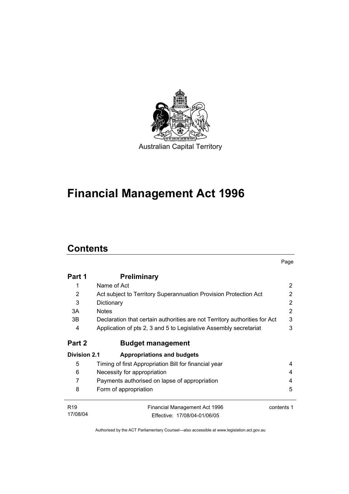

# **Financial Management Act 1996**

# **Contents**

|                     |                                                                            | Page       |
|---------------------|----------------------------------------------------------------------------|------------|
| Part 1              | <b>Preliminary</b>                                                         |            |
|                     | Name of Act                                                                | 2          |
| 2                   | Act subject to Territory Superannuation Provision Protection Act           | 2          |
| 3                   | Dictionary                                                                 | 2          |
| 3A                  | <b>Notes</b>                                                               | 2          |
| 3B                  | Declaration that certain authorities are not Territory authorities for Act | 3          |
| 4                   | Application of pts 2, 3 and 5 to Legislative Assembly secretariat          | 3          |
| Part 2              | <b>Budget management</b>                                                   |            |
| <b>Division 2.1</b> | <b>Appropriations and budgets</b>                                          |            |
| 5                   | Timing of first Appropriation Bill for financial year                      | 4          |
| 6                   | Necessity for appropriation                                                | 4          |
| 7                   | Payments authorised on lapse of appropriation                              | 4          |
| 8                   | Form of appropriation                                                      | 5          |
| R <sub>19</sub>     | Financial Management Act 1996                                              | contents 1 |
| 17/08/04            | Fffective: 17/08/04-01/06/05                                               |            |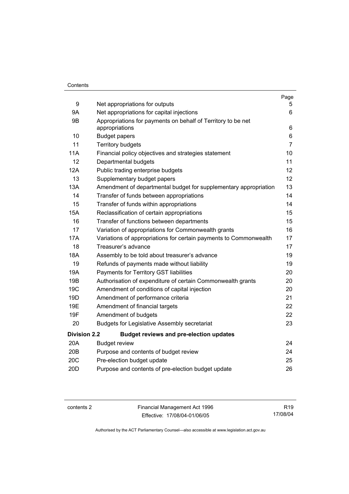#### **Contents**

|                     |                                                                                | Page           |
|---------------------|--------------------------------------------------------------------------------|----------------|
| 9                   | Net appropriations for outputs                                                 | 5.             |
| <b>9A</b>           | Net appropriations for capital injections                                      | 6              |
| 9B                  | Appropriations for payments on behalf of Territory to be net<br>appropriations | 6              |
| 10                  | <b>Budget papers</b>                                                           | 6              |
| 11                  | <b>Territory budgets</b>                                                       | $\overline{7}$ |
| <b>11A</b>          | Financial policy objectives and strategies statement                           | 10             |
| 12                  | Departmental budgets                                                           | 11             |
| 12A                 | Public trading enterprise budgets                                              | 12             |
| 13                  | Supplementary budget papers                                                    | 12             |
| 13A                 | Amendment of departmental budget for supplementary appropriation               | 13             |
| 14                  | Transfer of funds between appropriations                                       | 14             |
| 15                  | Transfer of funds within appropriations                                        | 14             |
| <b>15A</b>          | Reclassification of certain appropriations                                     | 15             |
| 16                  | Transfer of functions between departments                                      | 15             |
| 17                  | Variation of appropriations for Commonwealth grants                            | 16             |
| <b>17A</b>          | Variations of appropriations for certain payments to Commonwealth              | 17             |
| 18                  | Treasurer's advance                                                            | 17             |
| 18A                 | Assembly to be told about treasurer's advance                                  | 19             |
| 19                  | Refunds of payments made without liability                                     | 19             |
| 19A                 | Payments for Territory GST liabilities                                         | 20             |
| 19B                 | Authorisation of expenditure of certain Commonwealth grants                    | 20             |
| 19 <sub>C</sub>     | Amendment of conditions of capital injection                                   | 20             |
| 19D                 | Amendment of performance criteria                                              | 21             |
| 19E                 | Amendment of financial targets                                                 | 22             |
| 19F                 | Amendment of budgets                                                           | 22             |
| 20                  | <b>Budgets for Legislative Assembly secretariat</b>                            | 23             |
| <b>Division 2.2</b> | <b>Budget reviews and pre-election updates</b>                                 |                |
| 20A                 | <b>Budget review</b>                                                           | 24             |
| 20B                 | Purpose and contents of budget review                                          | 24             |
| 20C                 | Pre-election budget update                                                     | 25             |
| 20 <sub>D</sub>     | Purpose and contents of pre-election budget update                             | 26             |

contents 2 Financial Management Act 1996 Effective: 17/08/04-01/06/05

R19 17/08/04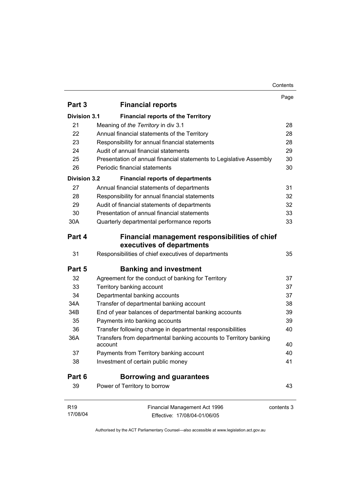#### Contents

| Part 3<br><b>Financial reports</b><br><b>Division 3.1</b><br><b>Financial reports of the Territory</b><br>21<br>Meaning of the Territory in div 3.1 | 28         |
|-----------------------------------------------------------------------------------------------------------------------------------------------------|------------|
|                                                                                                                                                     |            |
|                                                                                                                                                     |            |
|                                                                                                                                                     |            |
| 22<br>Annual financial statements of the Territory                                                                                                  | 28         |
| 23<br>Responsibility for annual financial statements                                                                                                | 28         |
| Audit of annual financial statements<br>24                                                                                                          | 29         |
| 25<br>Presentation of annual financial statements to Legislative Assembly                                                                           | 30         |
| 26<br>Periodic financial statements                                                                                                                 | 30         |
| <b>Division 3.2</b><br><b>Financial reports of departments</b>                                                                                      |            |
| 27<br>Annual financial statements of departments                                                                                                    | 31         |
| Responsibility for annual financial statements<br>28                                                                                                | 32         |
| 29<br>Audit of financial statements of departments                                                                                                  | 32         |
| Presentation of annual financial statements<br>30                                                                                                   | 33         |
| 30A<br>Quarterly departmental performance reports                                                                                                   | 33         |
| Part 4<br>Financial management responsibilities of chief<br>executives of departments                                                               |            |
| Responsibilities of chief executives of departments<br>31                                                                                           | 35         |
| Part 5<br><b>Banking and investment</b>                                                                                                             |            |
| 32<br>Agreement for the conduct of banking for Territory                                                                                            | 37         |
| 33<br>Territory banking account                                                                                                                     | 37         |
| 34<br>Departmental banking accounts                                                                                                                 | 37         |
| 34A<br>Transfer of departmental banking account                                                                                                     | 38         |
| 34B<br>End of year balances of departmental banking accounts                                                                                        | 39         |
| 35<br>Payments into banking accounts                                                                                                                | 39         |
| 36<br>Transfer following change in departmental responsibilities                                                                                    | 40         |
| 36A<br>Transfers from departmental banking accounts to Territory banking<br>account                                                                 | 40         |
| Payments from Territory banking account<br>37                                                                                                       | 40         |
| Investment of certain public money<br>38                                                                                                            | 41         |
| Part 6<br><b>Borrowing and guarantees</b>                                                                                                           |            |
| 39<br>Power of Territory to borrow                                                                                                                  | 43         |
| R <sub>19</sub><br>Financial Management Act 1996                                                                                                    | contents 3 |
| 17/08/04<br>Effective: 17/08/04-01/06/05                                                                                                            |            |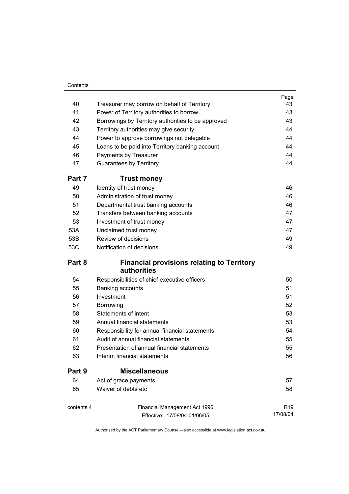#### **Contents**

|            |                                                                  | Page            |
|------------|------------------------------------------------------------------|-----------------|
| 40         | Treasurer may borrow on behalf of Territory                      | 43              |
| 41         | Power of Territory authorities to borrow                         | 43              |
| 42         | Borrowings by Territory authorities to be approved               | 43              |
| 43         | Territory authorities may give security                          | 44              |
| 44         | Power to approve borrowings not delegable                        | 44              |
| 45         | Loans to be paid into Territory banking account                  | 44              |
| 46         | Payments by Treasurer                                            | 44              |
| 47         | <b>Guarantees by Territory</b>                                   | 44              |
| Part 7     | <b>Trust money</b>                                               |                 |
| 49         | Identity of trust money                                          | 46              |
| 50         | Administration of trust money                                    | 46              |
| 51         | Departmental trust banking accounts                              | 46              |
| 52         | Transfers between banking accounts                               | 47              |
| 53         | Investment of trust money                                        | 47              |
| 53A        | Unclaimed trust money                                            | 47              |
| 53B        | Review of decisions                                              | 49              |
| 53C        | Notification of decisions                                        | 49              |
| Part 8     | <b>Financial provisions relating to Territory</b><br>authorities |                 |
| 54         | Responsibilities of chief executive officers                     | 50              |
| 55         | Banking accounts                                                 | 51              |
| 56         | Investment                                                       | 51              |
| 57         | Borrowing                                                        | 52              |
| 58         | <b>Statements of intent</b>                                      | 53              |
| 59         | Annual financial statements                                      | 53              |
| 60         | Responsibility for annual financial statements                   | 54              |
| 61         | Audit of annual financial statements                             | 55              |
| 62         | Presentation of annual financial statements                      | 55              |
| 63         | Interim financial statements                                     | 56              |
| Part 9     | <b>Miscellaneous</b>                                             |                 |
| 64         | Act of grace payments                                            | 57              |
| 65         | Waiver of debts etc                                              | 58              |
| contents 4 | Financial Management Act 1996                                    | R <sub>19</sub> |
|            | Effective: 17/08/04-01/06/05                                     | 17/08/04        |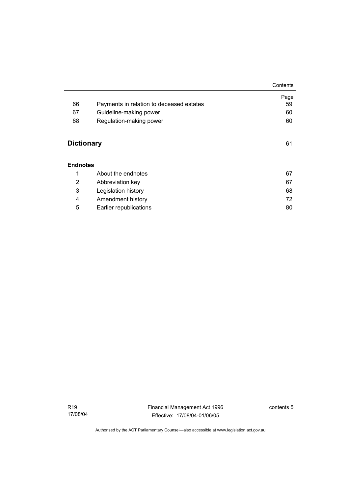|                   |                                          | Contents |
|-------------------|------------------------------------------|----------|
|                   |                                          | Page     |
| 66                | Payments in relation to deceased estates | 59       |
| 67                | Guideline-making power                   | 60       |
| 68                | Regulation-making power                  | 60       |
|                   |                                          |          |
| <b>Dictionary</b> |                                          | 61       |
|                   |                                          |          |
| <b>Endnotes</b>   |                                          |          |
| 1                 | About the endnotes                       | 67       |
| 2                 | Abbreviation key                         | 67       |
| 3                 | Legislation history                      | 68       |
| 4                 | Amendment history                        | 72       |
| 5                 | Earlier republications                   | 80       |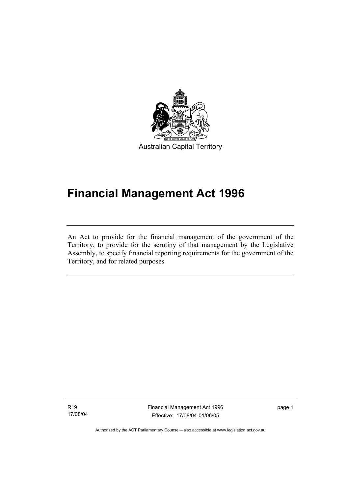

Australian Capital Territory

# **Financial Management Act 1996**

An Act to provide for the financial management of the government of the Territory, to provide for the scrutiny of that management by the Legislative Assembly, to specify financial reporting requirements for the government of the Territory, and for related purposes

R19 17/08/04

I

Financial Management Act 1996 Effective: 17/08/04-01/06/05

page 1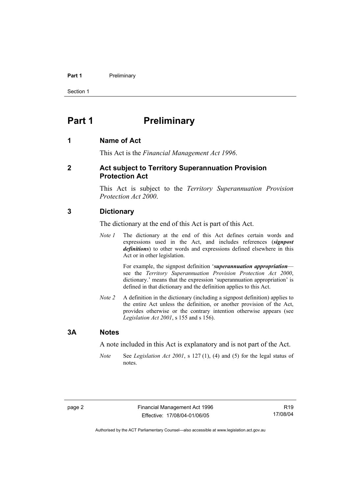#### **Part 1** Preliminary

Section 1

# **Part 1** Preliminary

#### **1 Name of Act**

This Act is the *Financial Management Act 1996*.

#### **2 Act subject to Territory Superannuation Provision Protection Act**

This Act is subject to the *Territory Superannuation Provision Protection Act 2000*.

#### **3 Dictionary**

The dictionary at the end of this Act is part of this Act.

*Note 1* The dictionary at the end of this Act defines certain words and expressions used in the Act, and includes references (*signpost definitions*) to other words and expressions defined elsewhere in this Act or in other legislation.

> For example, the signpost definition '*superannuation appropriation* see the *Territory Superannuation Provision Protection Act 2000*, dictionary.' means that the expression 'superannuation appropriation' is defined in that dictionary and the definition applies to this Act.

*Note 2* A definition in the dictionary (including a signpost definition) applies to the entire Act unless the definition, or another provision of the Act, provides otherwise or the contrary intention otherwise appears (see *Legislation Act 2001*, s 155 and s 156).

#### **3A Notes**

A note included in this Act is explanatory and is not part of the Act.

*Note* See *Legislation Act 2001*, s 127 (1), (4) and (5) for the legal status of notes.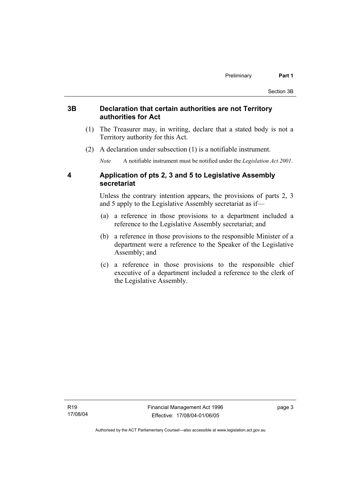#### **3B Declaration that certain authorities are not Territory authorities for Act**

- (1) The Treasurer may, in writing, declare that a stated body is not a Territory authority for this Act.
- (2) A declaration under subsection (1) is a notifiable instrument.

*Note* A notifiable instrument must be notified under the *Legislation Act 2001*.

### **4 Application of pts 2, 3 and 5 to Legislative Assembly secretariat**

Unless the contrary intention appears, the provisions of parts 2, 3 and 5 apply to the Legislative Assembly secretariat as if—

- (a) a reference in those provisions to a department included a reference to the Legislative Assembly secretariat; and
- (b) a reference in those provisions to the responsible Minister of a department were a reference to the Speaker of the Legislative Assembly; and
- (c) a reference in those provisions to the responsible chief executive of a department included a reference to the clerk of the Legislative Assembly.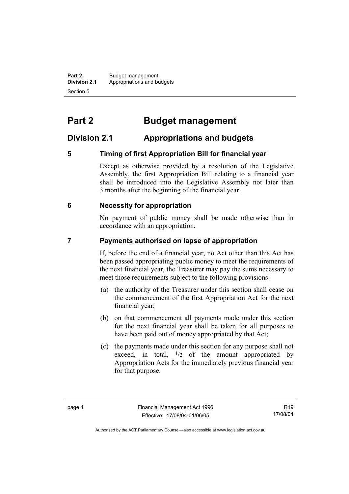**Part 2** Budget management<br>**Division 2.1** Appropriations and by **Division 2.1** Appropriations and budgets Section 5

# **Part 2 Budget management**

# **Division 2.1 Appropriations and budgets**

# **5 Timing of first Appropriation Bill for financial year**

Except as otherwise provided by a resolution of the Legislative Assembly, the first Appropriation Bill relating to a financial year shall be introduced into the Legislative Assembly not later than 3 months after the beginning of the financial year.

### **6 Necessity for appropriation**

No payment of public money shall be made otherwise than in accordance with an appropriation.

### **7 Payments authorised on lapse of appropriation**

If, before the end of a financial year, no Act other than this Act has been passed appropriating public money to meet the requirements of the next financial year, the Treasurer may pay the sums necessary to meet those requirements subject to the following provisions:

- (a) the authority of the Treasurer under this section shall cease on the commencement of the first Appropriation Act for the next financial year;
- (b) on that commencement all payments made under this section for the next financial year shall be taken for all purposes to have been paid out of money appropriated by that Act;
- (c) the payments made under this section for any purpose shall not exceed, in total,  $\frac{1}{2}$  of the amount appropriated by Appropriation Acts for the immediately previous financial year for that purpose.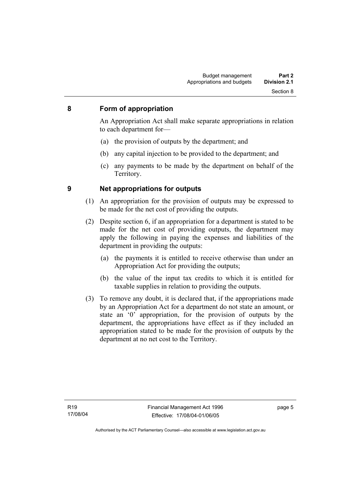#### **8 Form of appropriation**

An Appropriation Act shall make separate appropriations in relation to each department for—

- (a) the provision of outputs by the department; and
- (b) any capital injection to be provided to the department; and
- (c) any payments to be made by the department on behalf of the Territory.

- **9 Net appropriations for outputs** 
	- (1) An appropriation for the provision of outputs may be expressed to be made for the net cost of providing the outputs.
	- (2) Despite section 6, if an appropriation for a department is stated to be made for the net cost of providing outputs, the department may apply the following in paying the expenses and liabilities of the department in providing the outputs:
		- (a) the payments it is entitled to receive otherwise than under an Appropriation Act for providing the outputs;
		- (b) the value of the input tax credits to which it is entitled for taxable supplies in relation to providing the outputs.
	- (3) To remove any doubt, it is declared that, if the appropriations made by an Appropriation Act for a department do not state an amount, or state an '0' appropriation, for the provision of outputs by the department, the appropriations have effect as if they included an appropriation stated to be made for the provision of outputs by the department at no net cost to the Territory.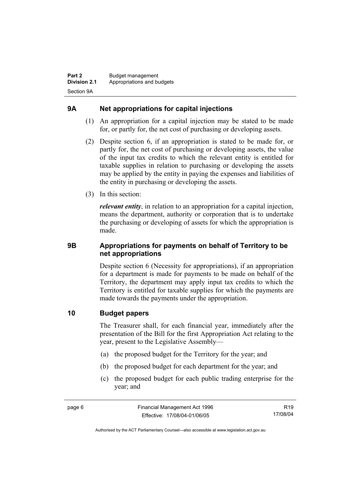# **9A Net appropriations for capital injections**

- (1) An appropriation for a capital injection may be stated to be made for, or partly for, the net cost of purchasing or developing assets.
- (2) Despite section 6, if an appropriation is stated to be made for, or partly for, the net cost of purchasing or developing assets, the value of the input tax credits to which the relevant entity is entitled for taxable supplies in relation to purchasing or developing the assets may be applied by the entity in paying the expenses and liabilities of the entity in purchasing or developing the assets.
- (3) In this section:

*relevant entity*, in relation to an appropriation for a capital injection, means the department, authority or corporation that is to undertake the purchasing or developing of assets for which the appropriation is made.

### **9B Appropriations for payments on behalf of Territory to be net appropriations**

Despite section 6 (Necessity for appropriations), if an appropriation for a department is made for payments to be made on behalf of the Territory, the department may apply input tax credits to which the Territory is entitled for taxable supplies for which the payments are made towards the payments under the appropriation.

### **10 Budget papers**

The Treasurer shall, for each financial year, immediately after the presentation of the Bill for the first Appropriation Act relating to the year, present to the Legislative Assembly—

- (a) the proposed budget for the Territory for the year; and
- (b) the proposed budget for each department for the year; and
- (c) the proposed budget for each public trading enterprise for the year; and

R19 17/08/04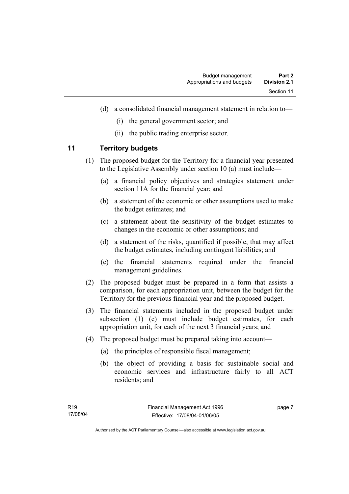- (d) a consolidated financial management statement in relation to—
	- (i) the general government sector; and
	- (ii) the public trading enterprise sector.

### **11 Territory budgets**

- (1) The proposed budget for the Territory for a financial year presented to the Legislative Assembly under section 10 (a) must include—
	- (a) a financial policy objectives and strategies statement under section 11A for the financial year; and
	- (b) a statement of the economic or other assumptions used to make the budget estimates; and
	- (c) a statement about the sensitivity of the budget estimates to changes in the economic or other assumptions; and
	- (d) a statement of the risks, quantified if possible, that may affect the budget estimates, including contingent liabilities; and
	- (e) the financial statements required under the financial management guidelines.
- (2) The proposed budget must be prepared in a form that assists a comparison, for each appropriation unit, between the budget for the Territory for the previous financial year and the proposed budget.
- (3) The financial statements included in the proposed budget under subsection (1) (e) must include budget estimates, for each appropriation unit, for each of the next 3 financial years; and
- (4) The proposed budget must be prepared taking into account—
	- (a) the principles of responsible fiscal management;
	- (b) the object of providing a basis for sustainable social and economic services and infrastructure fairly to all ACT residents; and

page 7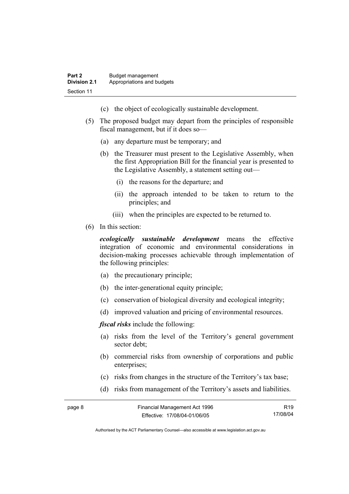- (c) the object of ecologically sustainable development.
- (5) The proposed budget may depart from the principles of responsible fiscal management, but if it does so—
	- (a) any departure must be temporary; and
	- (b) the Treasurer must present to the Legislative Assembly, when the first Appropriation Bill for the financial year is presented to the Legislative Assembly, a statement setting out—
		- (i) the reasons for the departure; and
		- (ii) the approach intended to be taken to return to the principles; and
		- (iii) when the principles are expected to be returned to.
- (6) In this section:

*ecologically sustainable development* means the effective integration of economic and environmental considerations in decision-making processes achievable through implementation of the following principles:

- (a) the precautionary principle;
- (b) the inter-generational equity principle;
- (c) conservation of biological diversity and ecological integrity;
- (d) improved valuation and pricing of environmental resources.

*fiscal risks* include the following:

- (a) risks from the level of the Territory's general government sector debt;
- (b) commercial risks from ownership of corporations and public enterprises:
- (c) risks from changes in the structure of the Territory's tax base;
- (d) risks from management of the Territory's assets and liabilities.

| page 8 | Financial Management Act 1996 | R <sub>19</sub> |
|--------|-------------------------------|-----------------|
|        | Effective: 17/08/04-01/06/05  | 17/08/04        |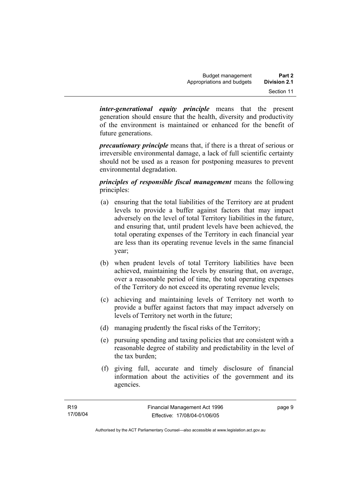*inter-generational equity principle* means that the present generation should ensure that the health, diversity and productivity of the environment is maintained or enhanced for the benefit of future generations.

*precautionary principle* means that, if there is a threat of serious or irreversible environmental damage, a lack of full scientific certainty should not be used as a reason for postponing measures to prevent environmental degradation.

*principles of responsible fiscal management* means the following principles:

- (a) ensuring that the total liabilities of the Territory are at prudent levels to provide a buffer against factors that may impact adversely on the level of total Territory liabilities in the future, and ensuring that, until prudent levels have been achieved, the total operating expenses of the Territory in each financial year are less than its operating revenue levels in the same financial year;
- (b) when prudent levels of total Territory liabilities have been achieved, maintaining the levels by ensuring that, on average, over a reasonable period of time, the total operating expenses of the Territory do not exceed its operating revenue levels;
- (c) achieving and maintaining levels of Territory net worth to provide a buffer against factors that may impact adversely on levels of Territory net worth in the future;
- (d) managing prudently the fiscal risks of the Territory;
- (e) pursuing spending and taxing policies that are consistent with a reasonable degree of stability and predictability in the level of the tax burden;
- (f) giving full, accurate and timely disclosure of financial information about the activities of the government and its agencies.

page 9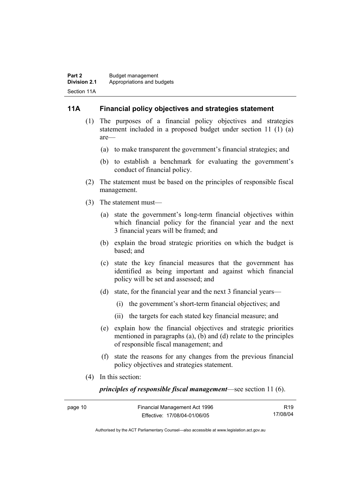#### **11A Financial policy objectives and strategies statement**

- (1) The purposes of a financial policy objectives and strategies statement included in a proposed budget under section 11 (1) (a) are—
	- (a) to make transparent the government's financial strategies; and
	- (b) to establish a benchmark for evaluating the government's conduct of financial policy.
- (2) The statement must be based on the principles of responsible fiscal management.
- (3) The statement must—
	- (a) state the government's long-term financial objectives within which financial policy for the financial year and the next 3 financial years will be framed; and
	- (b) explain the broad strategic priorities on which the budget is based; and
	- (c) state the key financial measures that the government has identified as being important and against which financial policy will be set and assessed; and
	- (d) state, for the financial year and the next 3 financial years—
		- (i) the government's short-term financial objectives; and
		- (ii) the targets for each stated key financial measure; and
	- (e) explain how the financial objectives and strategic priorities mentioned in paragraphs (a), (b) and (d) relate to the principles of responsible fiscal management; and
	- (f) state the reasons for any changes from the previous financial policy objectives and strategies statement.
- (4) In this section:

*principles of responsible fiscal management*—see section 11 (6).

| page 10 | Financial Management Act 1996 | R <sub>19</sub> |
|---------|-------------------------------|-----------------|
|         | Effective: 17/08/04-01/06/05  | 17/08/04        |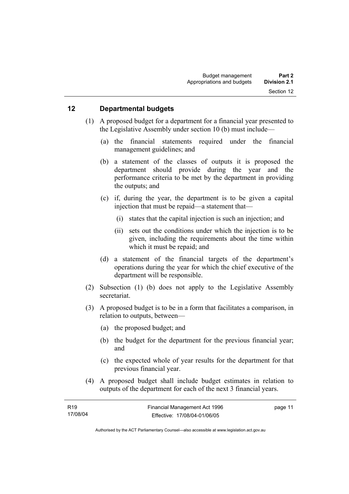#### **12 Departmental budgets**

- (1) A proposed budget for a department for a financial year presented to the Legislative Assembly under section 10 (b) must include—
	- (a) the financial statements required under the financial management guidelines; and
	- (b) a statement of the classes of outputs it is proposed the department should provide during the year and the performance criteria to be met by the department in providing the outputs; and
	- (c) if, during the year, the department is to be given a capital injection that must be repaid—a statement that—
		- (i) states that the capital injection is such an injection; and
		- (ii) sets out the conditions under which the injection is to be given, including the requirements about the time within which it must be repaid; and
	- (d) a statement of the financial targets of the department's operations during the year for which the chief executive of the department will be responsible.
- (2) Subsection (1) (b) does not apply to the Legislative Assembly secretariat.
- (3) A proposed budget is to be in a form that facilitates a comparison, in relation to outputs, between—
	- (a) the proposed budget; and
	- (b) the budget for the department for the previous financial year; and
	- (c) the expected whole of year results for the department for that previous financial year.
- (4) A proposed budget shall include budget estimates in relation to outputs of the department for each of the next 3 financial years.

| R19      | Financial Management Act 1996 | page 11 |
|----------|-------------------------------|---------|
| 17/08/04 | Effective: 17/08/04-01/06/05  |         |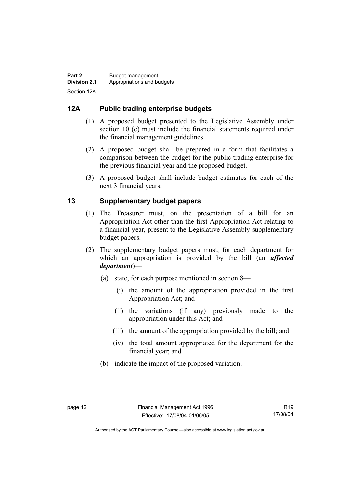# **12A Public trading enterprise budgets**

- (1) A proposed budget presented to the Legislative Assembly under section 10 (c) must include the financial statements required under the financial management guidelines.
- (2) A proposed budget shall be prepared in a form that facilitates a comparison between the budget for the public trading enterprise for the previous financial year and the proposed budget.
- (3) A proposed budget shall include budget estimates for each of the next 3 financial years.

# **13 Supplementary budget papers**

- (1) The Treasurer must, on the presentation of a bill for an Appropriation Act other than the first Appropriation Act relating to a financial year, present to the Legislative Assembly supplementary budget papers.
- (2) The supplementary budget papers must, for each department for which an appropriation is provided by the bill (an *affected department*)—
	- (a) state, for each purpose mentioned in section 8—
		- (i) the amount of the appropriation provided in the first Appropriation Act; and
		- (ii) the variations (if any) previously made to the appropriation under this Act; and
		- (iii) the amount of the appropriation provided by the bill; and
		- (iv) the total amount appropriated for the department for the financial year; and
	- (b) indicate the impact of the proposed variation.

Authorised by the ACT Parliamentary Counsel—also accessible at www.legislation.act.gov.au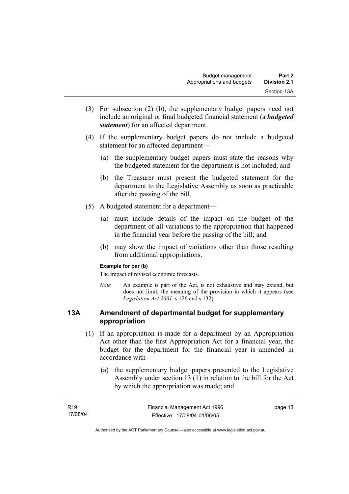- (3) For subsection (2) (b), the supplementary budget papers need not include an original or final budgeted financial statement (a *budgeted statement*) for an affected department.
- (4) If the supplementary budget papers do not include a budgeted statement for an affected department—
	- (a) the supplementary budget papers must state the reasons why the budgeted statement for the department is not included; and
	- (b) the Treasurer must present the budgeted statement for the department to the Legislative Assembly as soon as practicable after the passing of the bill.
- (5) A budgeted statement for a department—
	- (a) must include details of the impact on the budget of the department of all variations to the appropriation that happened in the financial year before the passing of the bill; and
	- (b) may show the impact of variations other than those resulting from additional appropriations.

#### **Example for par (b)**

The impact of revised economic forecasts.

*Note* An example is part of the Act, is not exhaustive and may extend, but does not limit, the meaning of the provision in which it appears (see *Legislation Act 2001*, s 126 and s 132).

#### **13A Amendment of departmental budget for supplementary appropriation**

- (1) If an appropriation is made for a department by an Appropriation Act other than the first Appropriation Act for a financial year, the budget for the department for the financial year is amended in accordance with—
	- (a) the supplementary budget papers presented to the Legislative Assembly under section 13 (1) in relation to the bill for the Act by which the appropriation was made; and

| R <sub>19</sub> | Financial Management Act 1996 | page 13 |
|-----------------|-------------------------------|---------|
| 17/08/04        | Effective: 17/08/04-01/06/05  |         |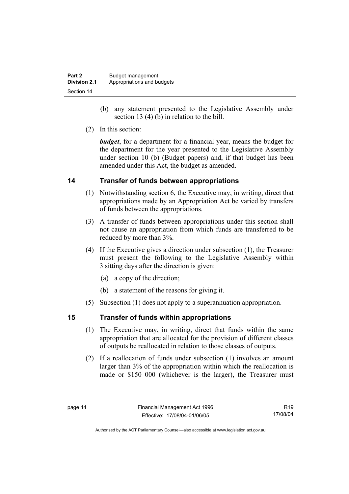| Part 2              | Budget management          |
|---------------------|----------------------------|
| <b>Division 2.1</b> | Appropriations and budgets |
| Section 14          |                            |

- (b) any statement presented to the Legislative Assembly under section 13 (4) (b) in relation to the bill.
- (2) In this section:

*budget*, for a department for a financial year, means the budget for the department for the year presented to the Legislative Assembly under section 10 (b) (Budget papers) and, if that budget has been amended under this Act, the budget as amended.

# **14 Transfer of funds between appropriations**

- (1) Notwithstanding section 6, the Executive may, in writing, direct that appropriations made by an Appropriation Act be varied by transfers of funds between the appropriations.
- (3) A transfer of funds between appropriations under this section shall not cause an appropriation from which funds are transferred to be reduced by more than 3%.
- (4) If the Executive gives a direction under subsection (1), the Treasurer must present the following to the Legislative Assembly within 3 sitting days after the direction is given:
	- (a) a copy of the direction;
	- (b) a statement of the reasons for giving it.
- (5) Subsection (1) does not apply to a superannuation appropriation.

### **15 Transfer of funds within appropriations**

- (1) The Executive may, in writing, direct that funds within the same appropriation that are allocated for the provision of different classes of outputs be reallocated in relation to those classes of outputs.
- (2) If a reallocation of funds under subsection (1) involves an amount larger than 3% of the appropriation within which the reallocation is made or \$150 000 (whichever is the larger), the Treasurer must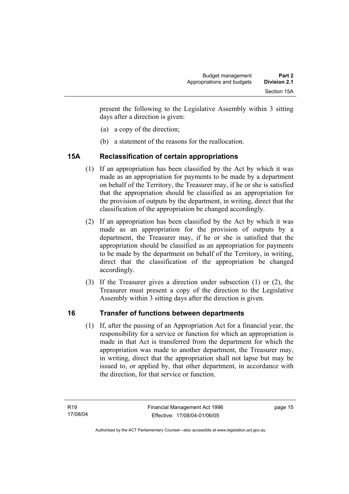present the following to the Legislative Assembly within 3 sitting days after a direction is given:

- (a) a copy of the direction;
- (b) a statement of the reasons for the reallocation.

# **15A Reclassification of certain appropriations**

- (1) If an appropriation has been classified by the Act by which it was made as an appropriation for payments to be made by a department on behalf of the Territory, the Treasurer may, if he or she is satisfied that the appropriation should be classified as an appropriation for the provision of outputs by the department, in writing, direct that the classification of the appropriation be changed accordingly.
- (2) If an appropriation has been classified by the Act by which it was made as an appropriation for the provision of outputs by a department, the Treasurer may, if he or she is satisfied that the appropriation should be classified as an appropriation for payments to be made by the department on behalf of the Territory, in writing, direct that the classification of the appropriation be changed accordingly.
- (3) If the Treasurer gives a direction under subsection (1) or (2), the Treasurer must present a copy of the direction to the Legislative Assembly within 3 sitting days after the direction is given.

# **16 Transfer of functions between departments**

 (1) If, after the passing of an Appropriation Act for a financial year, the responsibility for a service or function for which an appropriation is made in that Act is transferred from the department for which the appropriation was made to another department, the Treasurer may, in writing, direct that the appropriation shall not lapse but may be issued to, or applied by, that other department, in accordance with the direction, for that service or function.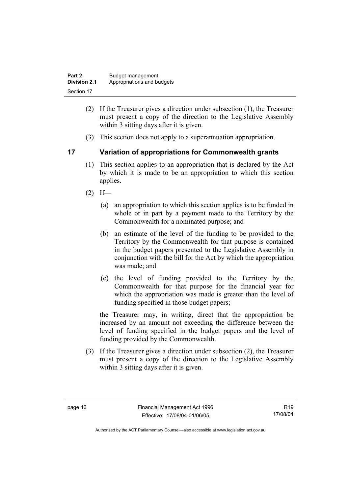| Part 2              | Budget management          |
|---------------------|----------------------------|
| <b>Division 2.1</b> | Appropriations and budgets |
| Section 17          |                            |

- (2) If the Treasurer gives a direction under subsection (1), the Treasurer must present a copy of the direction to the Legislative Assembly within 3 sitting days after it is given.
- (3) This section does not apply to a superannuation appropriation.

### **17 Variation of appropriations for Commonwealth grants**

- (1) This section applies to an appropriation that is declared by the Act by which it is made to be an appropriation to which this section applies.
- $(2)$  If—
	- (a) an appropriation to which this section applies is to be funded in whole or in part by a payment made to the Territory by the Commonwealth for a nominated purpose; and
	- (b) an estimate of the level of the funding to be provided to the Territory by the Commonwealth for that purpose is contained in the budget papers presented to the Legislative Assembly in conjunction with the bill for the Act by which the appropriation was made; and
	- (c) the level of funding provided to the Territory by the Commonwealth for that purpose for the financial year for which the appropriation was made is greater than the level of funding specified in those budget papers;

the Treasurer may, in writing, direct that the appropriation be increased by an amount not exceeding the difference between the level of funding specified in the budget papers and the level of funding provided by the Commonwealth.

 (3) If the Treasurer gives a direction under subsection (2), the Treasurer must present a copy of the direction to the Legislative Assembly within 3 sitting days after it is given.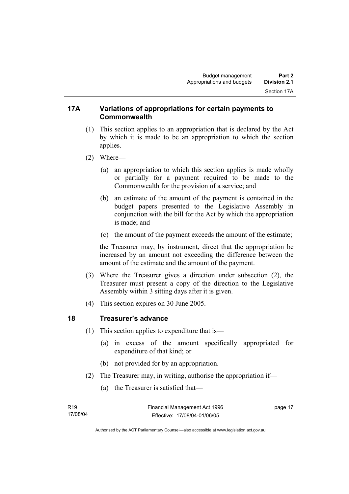#### **17A Variations of appropriations for certain payments to Commonwealth**

- (1) This section applies to an appropriation that is declared by the Act by which it is made to be an appropriation to which the section applies.
- (2) Where—
	- (a) an appropriation to which this section applies is made wholly or partially for a payment required to be made to the Commonwealth for the provision of a service; and
	- (b) an estimate of the amount of the payment is contained in the budget papers presented to the Legislative Assembly in conjunction with the bill for the Act by which the appropriation is made; and
	- (c) the amount of the payment exceeds the amount of the estimate;

the Treasurer may, by instrument, direct that the appropriation be increased by an amount not exceeding the difference between the amount of the estimate and the amount of the payment.

- (3) Where the Treasurer gives a direction under subsection (2), the Treasurer must present a copy of the direction to the Legislative Assembly within 3 sitting days after it is given.
- (4) This section expires on 30 June 2005.

#### **18 Treasurer's advance**

- (1) This section applies to expenditure that is—
	- (a) in excess of the amount specifically appropriated for expenditure of that kind; or
	- (b) not provided for by an appropriation.
- (2) The Treasurer may, in writing, authorise the appropriation if—
	- (a) the Treasurer is satisfied that—

| R <sub>19</sub> | Financial Management Act 1996 | page 17 |
|-----------------|-------------------------------|---------|
| 17/08/04        | Effective: 17/08/04-01/06/05  |         |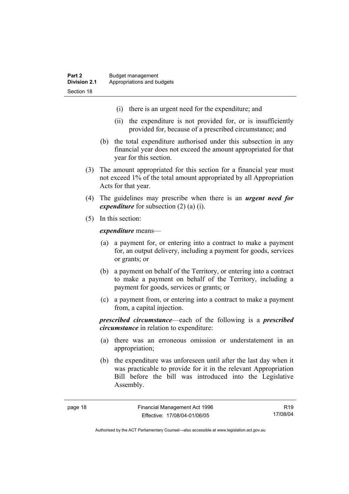- (i) there is an urgent need for the expenditure; and
- (ii) the expenditure is not provided for, or is insufficiently provided for, because of a prescribed circumstance; and
- (b) the total expenditure authorised under this subsection in any financial year does not exceed the amount appropriated for that year for this section.
- (3) The amount appropriated for this section for a financial year must not exceed 1% of the total amount appropriated by all Appropriation Acts for that year.
- (4) The guidelines may prescribe when there is an *urgent need for expenditure* for subsection (2) (a) (i).
- (5) In this section:

*expenditure* means—

- (a) a payment for, or entering into a contract to make a payment for, an output delivery, including a payment for goods, services or grants; or
- (b) a payment on behalf of the Territory, or entering into a contract to make a payment on behalf of the Territory, including a payment for goods, services or grants; or
- (c) a payment from, or entering into a contract to make a payment from, a capital injection.

*prescribed circumstance*—each of the following is a *prescribed circumstance* in relation to expenditure:

- (a) there was an erroneous omission or understatement in an appropriation;
- (b) the expenditure was unforeseen until after the last day when it was practicable to provide for it in the relevant Appropriation Bill before the bill was introduced into the Legislative Assembly.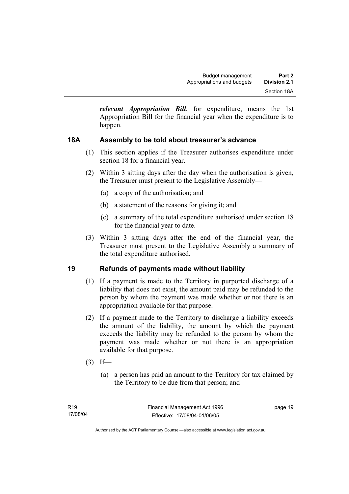*relevant Appropriation Bill*, for expenditure, means the 1st Appropriation Bill for the financial year when the expenditure is to happen.

# **18A Assembly to be told about treasurer's advance**

- (1) This section applies if the Treasurer authorises expenditure under section 18 for a financial year.
- (2) Within 3 sitting days after the day when the authorisation is given, the Treasurer must present to the Legislative Assembly—
	- (a) a copy of the authorisation; and
	- (b) a statement of the reasons for giving it; and
	- (c) a summary of the total expenditure authorised under section 18 for the financial year to date.
- (3) Within 3 sitting days after the end of the financial year, the Treasurer must present to the Legislative Assembly a summary of the total expenditure authorised.

### **19 Refunds of payments made without liability**

- (1) If a payment is made to the Territory in purported discharge of a liability that does not exist, the amount paid may be refunded to the person by whom the payment was made whether or not there is an appropriation available for that purpose.
- (2) If a payment made to the Territory to discharge a liability exceeds the amount of the liability, the amount by which the payment exceeds the liability may be refunded to the person by whom the payment was made whether or not there is an appropriation available for that purpose.
- $(3)$  If—
	- (a) a person has paid an amount to the Territory for tax claimed by the Territory to be due from that person; and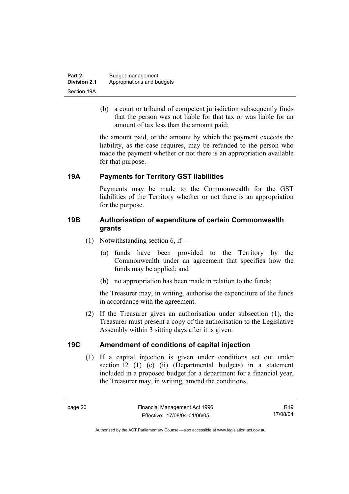| Part 2              | Budget management          |  |
|---------------------|----------------------------|--|
| <b>Division 2.1</b> | Appropriations and budgets |  |
| Section 19A         |                            |  |

 (b) a court or tribunal of competent jurisdiction subsequently finds that the person was not liable for that tax or was liable for an amount of tax less than the amount paid;

the amount paid, or the amount by which the payment exceeds the liability, as the case requires, may be refunded to the person who made the payment whether or not there is an appropriation available for that purpose.

### **19A Payments for Territory GST liabilities**

Payments may be made to the Commonwealth for the GST liabilities of the Territory whether or not there is an appropriation for the purpose.

#### **19B Authorisation of expenditure of certain Commonwealth grants**

- (1) Notwithstanding section 6, if—
	- (a) funds have been provided to the Territory by the Commonwealth under an agreement that specifies how the funds may be applied; and
	- (b) no appropriation has been made in relation to the funds;

the Treasurer may, in writing, authorise the expenditure of the funds in accordance with the agreement.

 (2) If the Treasurer gives an authorisation under subsection (1), the Treasurer must present a copy of the authorisation to the Legislative Assembly within 3 sitting days after it is given.

### **19C Amendment of conditions of capital injection**

 (1) If a capital injection is given under conditions set out under section 12 (1) (c) (ii) (Departmental budgets) in a statement included in a proposed budget for a department for a financial year, the Treasurer may, in writing, amend the conditions.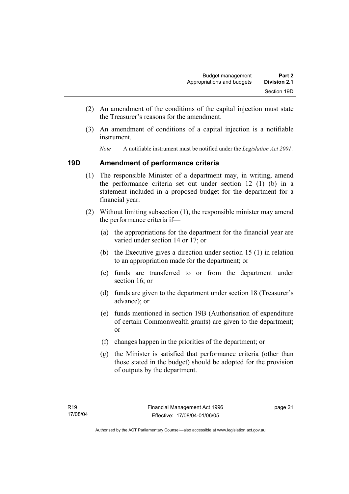- (2) An amendment of the conditions of the capital injection must state the Treasurer's reasons for the amendment.
- (3) An amendment of conditions of a capital injection is a notifiable instrument.
	- *Note* A notifiable instrument must be notified under the *Legislation Act 2001*.

#### **19D Amendment of performance criteria**

- (1) The responsible Minister of a department may, in writing, amend the performance criteria set out under section 12 (1) (b) in a statement included in a proposed budget for the department for a financial year.
- (2) Without limiting subsection (1), the responsible minister may amend the performance criteria if—
	- (a) the appropriations for the department for the financial year are varied under section 14 or 17; or
	- (b) the Executive gives a direction under section 15 (1) in relation to an appropriation made for the department; or
	- (c) funds are transferred to or from the department under section 16; or
	- (d) funds are given to the department under section 18 (Treasurer's advance); or
	- (e) funds mentioned in section 19B (Authorisation of expenditure of certain Commonwealth grants) are given to the department; or
	- (f) changes happen in the priorities of the department; or
	- (g) the Minister is satisfied that performance criteria (other than those stated in the budget) should be adopted for the provision of outputs by the department.

page 21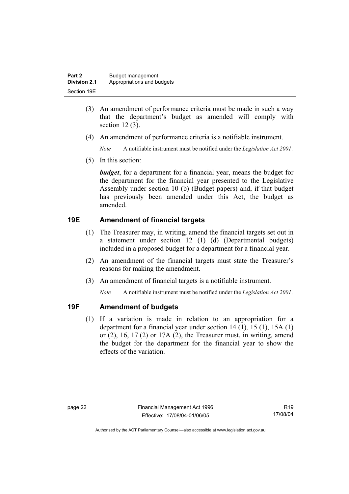| Part 2       | Budget management          |
|--------------|----------------------------|
| Division 2.1 | Appropriations and budgets |
| Section 19E  |                            |

- (3) An amendment of performance criteria must be made in such a way that the department's budget as amended will comply with section 12 (3).
- (4) An amendment of performance criteria is a notifiable instrument.

*Note* A notifiable instrument must be notified under the *Legislation Act 2001*.

(5) In this section:

*budget*, for a department for a financial year, means the budget for the department for the financial year presented to the Legislative Assembly under section 10 (b) (Budget papers) and, if that budget has previously been amended under this Act, the budget as amended.

# **19E Amendment of financial targets**

- (1) The Treasurer may, in writing, amend the financial targets set out in a statement under section 12 (1) (d) (Departmental budgets) included in a proposed budget for a department for a financial year.
- (2) An amendment of the financial targets must state the Treasurer's reasons for making the amendment.
- (3) An amendment of financial targets is a notifiable instrument.

*Note* A notifiable instrument must be notified under the *Legislation Act 2001*.

### **19F Amendment of budgets**

 (1) If a variation is made in relation to an appropriation for a department for a financial year under section 14 (1), 15 (1), 15A (1) or  $(2)$ ,  $16$ ,  $17(2)$  or  $17A(2)$ , the Treasurer must, in writing, amend the budget for the department for the financial year to show the effects of the variation.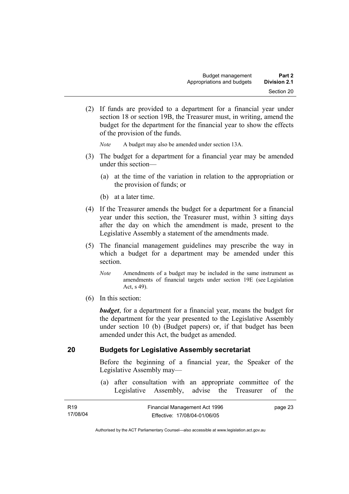(2) If funds are provided to a department for a financial year under section 18 or section 19B, the Treasurer must, in writing, amend the budget for the department for the financial year to show the effects of the provision of the funds.

*Note* A budget may also be amended under section 13A.

- (3) The budget for a department for a financial year may be amended under this section—
	- (a) at the time of the variation in relation to the appropriation or the provision of funds; or
	- (b) at a later time.
- (4) If the Treasurer amends the budget for a department for a financial year under this section, the Treasurer must, within 3 sitting days after the day on which the amendment is made, present to the Legislative Assembly a statement of the amendments made.
- (5) The financial management guidelines may prescribe the way in which a budget for a department may be amended under this section.
	- *Note* Amendments of a budget may be included in the same instrument as amendments of financial targets under section 19E (see Legislation Act, s 49).
- (6) In this section:

*budget*, for a department for a financial year, means the budget for the department for the year presented to the Legislative Assembly under section 10 (b) (Budget papers) or, if that budget has been amended under this Act, the budget as amended.

### **20 Budgets for Legislative Assembly secretariat**

Before the beginning of a financial year, the Speaker of the Legislative Assembly may—

 (a) after consultation with an appropriate committee of the Legislative Assembly, advise the Treasurer of the

| R <sub>19</sub> | Financial Management Act 1996 | page 23 |
|-----------------|-------------------------------|---------|
| 17/08/04        | Effective: 17/08/04-01/06/05  |         |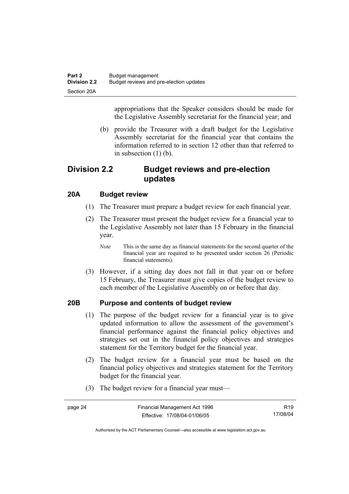appropriations that the Speaker considers should be made for the Legislative Assembly secretariat for the financial year; and

 (b) provide the Treasurer with a draft budget for the Legislative Assembly secretariat for the financial year that contains the information referred to in section 12 other than that referred to in subsection (1) (b).

# **Division 2.2 Budget reviews and pre-election updates**

### **20A Budget review**

- (1) The Treasurer must prepare a budget review for each financial year.
- (2) The Treasurer must present the budget review for a financial year to the Legislative Assembly not later than 15 February in the financial year.
	- *Note* This is the same day as financial statements for the second quarter of the financial year are required to be presented under section 26 (Periodic financial statements).
- (3) However, if a sitting day does not fall in that year on or before 15 February, the Treasurer must give copies of the budget review to each member of the Legislative Assembly on or before that day.

### **20B Purpose and contents of budget review**

- (1) The purpose of the budget review for a financial year is to give updated information to allow the assessment of the government's financial performance against the financial policy objectives and strategies set out in the financial policy objectives and strategies statement for the Territory budget for the financial year.
- (2) The budget review for a financial year must be based on the financial policy objectives and strategies statement for the Territory budget for the financial year.
- (3) The budget review for a financial year must—

| page 24 | Financial Management Act 1996 | R <sub>19</sub> |
|---------|-------------------------------|-----------------|
|         | Effective: 17/08/04-01/06/05  | 17/08/04        |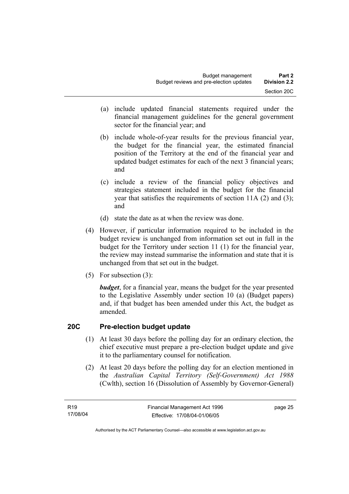- (a) include updated financial statements required under the financial management guidelines for the general government sector for the financial year; and
- (b) include whole-of-year results for the previous financial year, the budget for the financial year, the estimated financial position of the Territory at the end of the financial year and updated budget estimates for each of the next 3 financial years; and
- (c) include a review of the financial policy objectives and strategies statement included in the budget for the financial year that satisfies the requirements of section 11A (2) and (3); and
- (d) state the date as at when the review was done.
- (4) However, if particular information required to be included in the budget review is unchanged from information set out in full in the budget for the Territory under section 11 (1) for the financial year, the review may instead summarise the information and state that it is unchanged from that set out in the budget.
- (5) For subsection (3):

*budget*, for a financial year, means the budget for the year presented to the Legislative Assembly under section 10 (a) (Budget papers) and, if that budget has been amended under this Act, the budget as amended.

### **20C Pre-election budget update**

- (1) At least 30 days before the polling day for an ordinary election, the chief executive must prepare a pre-election budget update and give it to the parliamentary counsel for notification.
- (2) At least 20 days before the polling day for an election mentioned in the *Australian Capital Territory (Self-Government) Act 1988* (Cwlth), section 16 (Dissolution of Assembly by Governor-General)

page 25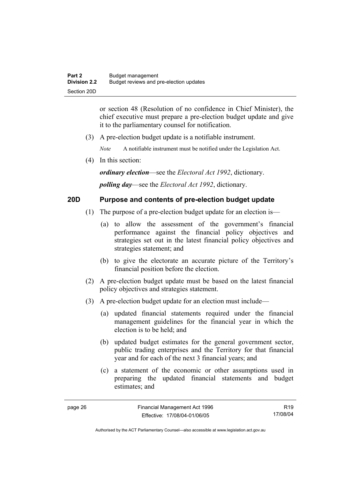or section 48 (Resolution of no confidence in Chief Minister), the chief executive must prepare a pre-election budget update and give it to the parliamentary counsel for notification.

(3) A pre-election budget update is a notifiable instrument.

*Note* A notifiable instrument must be notified under the Legislation Act.

(4) In this section:

*ordinary election*—see the *Electoral Act 1992*, dictionary.

*polling day*—see the *Electoral Act 1992*, dictionary.

### **20D Purpose and contents of pre-election budget update**

- (1) The purpose of a pre-election budget update for an election is—
	- (a) to allow the assessment of the government's financial performance against the financial policy objectives and strategies set out in the latest financial policy objectives and strategies statement; and
	- (b) to give the electorate an accurate picture of the Territory's financial position before the election.
- (2) A pre-election budget update must be based on the latest financial policy objectives and strategies statement.
- (3) A pre-election budget update for an election must include—
	- (a) updated financial statements required under the financial management guidelines for the financial year in which the election is to be held; and
	- (b) updated budget estimates for the general government sector, public trading enterprises and the Territory for that financial year and for each of the next 3 financial years; and
	- (c) a statement of the economic or other assumptions used in preparing the updated financial statements and budget estimates; and

R19 17/08/04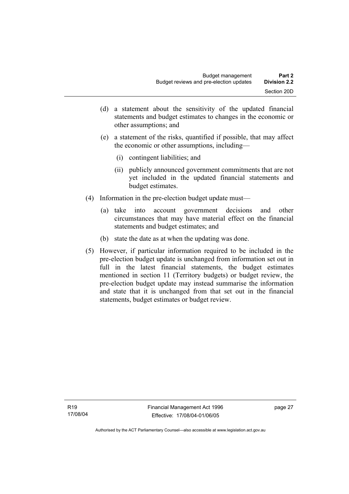- (d) a statement about the sensitivity of the updated financial statements and budget estimates to changes in the economic or other assumptions; and
- (e) a statement of the risks, quantified if possible, that may affect the economic or other assumptions, including—
	- (i) contingent liabilities; and
	- (ii) publicly announced government commitments that are not yet included in the updated financial statements and budget estimates.
- (4) Information in the pre-election budget update must—
	- (a) take into account government decisions and other circumstances that may have material effect on the financial statements and budget estimates; and
	- (b) state the date as at when the updating was done.
- (5) However, if particular information required to be included in the pre-election budget update is unchanged from information set out in full in the latest financial statements, the budget estimates mentioned in section 11 (Territory budgets) or budget review, the pre-election budget update may instead summarise the information and state that it is unchanged from that set out in the financial statements, budget estimates or budget review.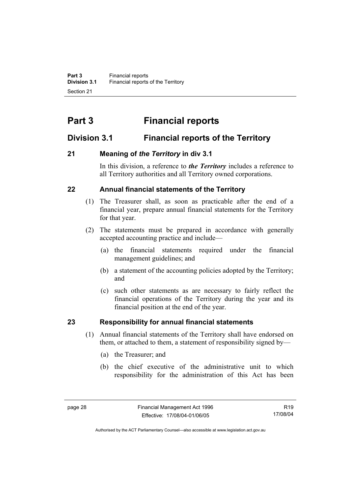# **Part 3 Financial reports**

# **Division 3.1 Financial reports of the Territory**

# **21 Meaning of** *the Territory* **in div 3.1**

In this division, a reference to *the Territory* includes a reference to all Territory authorities and all Territory owned corporations.

# **22 Annual financial statements of the Territory**

- (1) The Treasurer shall, as soon as practicable after the end of a financial year, prepare annual financial statements for the Territory for that year.
- (2) The statements must be prepared in accordance with generally accepted accounting practice and include—
	- (a) the financial statements required under the financial management guidelines; and
	- (b) a statement of the accounting policies adopted by the Territory; and
	- (c) such other statements as are necessary to fairly reflect the financial operations of the Territory during the year and its financial position at the end of the year.

# **23 Responsibility for annual financial statements**

- (1) Annual financial statements of the Territory shall have endorsed on them, or attached to them, a statement of responsibility signed by—
	- (a) the Treasurer; and
	- (b) the chief executive of the administrative unit to which responsibility for the administration of this Act has been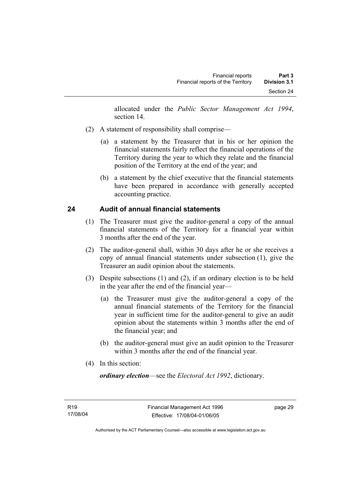allocated under the *Public Sector Management Act 1994*, section 14.

- (2) A statement of responsibility shall comprise—
	- (a) a statement by the Treasurer that in his or her opinion the financial statements fairly reflect the financial operations of the Territory during the year to which they relate and the financial position of the Territory at the end of the year; and
	- (b) a statement by the chief executive that the financial statements have been prepared in accordance with generally accepted accounting practice.

## **24 Audit of annual financial statements**

- (1) The Treasurer must give the auditor-general a copy of the annual financial statements of the Territory for a financial year within 3 months after the end of the year.
- (2) The auditor-general shall, within 30 days after he or she receives a copy of annual financial statements under subsection (1), give the Treasurer an audit opinion about the statements.
- (3) Despite subsections (1) and (2), if an ordinary election is to be held in the year after the end of the financial year—
	- (a) the Treasurer must give the auditor-general a copy of the annual financial statements of the Territory for the financial year in sufficient time for the auditor-general to give an audit opinion about the statements within 3 months after the end of the financial year; and
	- (b) the auditor-general must give an audit opinion to the Treasurer within 3 months after the end of the financial year.
- (4) In this section:

*ordinary election*—see the *Electoral Act 1992*, dictionary.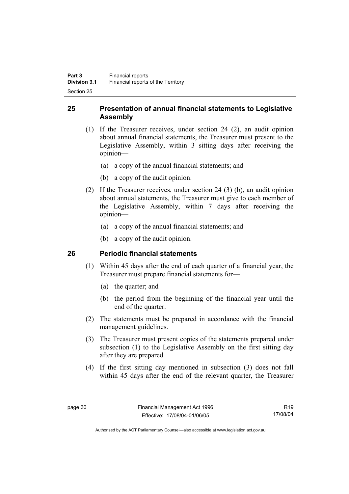## **25 Presentation of annual financial statements to Legislative Assembly**

- (1) If the Treasurer receives, under section 24 (2), an audit opinion about annual financial statements, the Treasurer must present to the Legislative Assembly, within 3 sitting days after receiving the opinion—
	- (a) a copy of the annual financial statements; and
	- (b) a copy of the audit opinion.
- (2) If the Treasurer receives, under section 24 (3) (b), an audit opinion about annual statements, the Treasurer must give to each member of the Legislative Assembly, within 7 days after receiving the opinion—
	- (a) a copy of the annual financial statements; and
	- (b) a copy of the audit opinion.

## **26 Periodic financial statements**

- (1) Within 45 days after the end of each quarter of a financial year, the Treasurer must prepare financial statements for—
	- (a) the quarter; and
	- (b) the period from the beginning of the financial year until the end of the quarter.
- (2) The statements must be prepared in accordance with the financial management guidelines.
- (3) The Treasurer must present copies of the statements prepared under subsection (1) to the Legislative Assembly on the first sitting day after they are prepared.
- (4) If the first sitting day mentioned in subsection (3) does not fall within 45 days after the end of the relevant quarter, the Treasurer

R19 17/08/04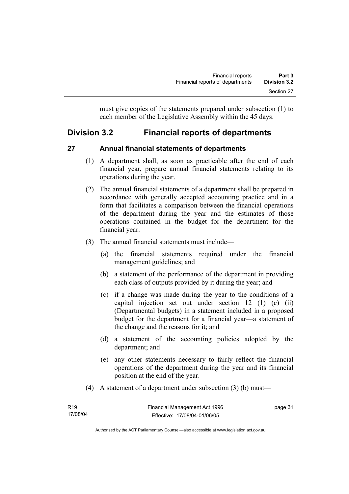must give copies of the statements prepared under subsection (1) to each member of the Legislative Assembly within the 45 days.

# **Division 3.2 Financial reports of departments**

## **27 Annual financial statements of departments**

- (1) A department shall, as soon as practicable after the end of each financial year, prepare annual financial statements relating to its operations during the year.
- (2) The annual financial statements of a department shall be prepared in accordance with generally accepted accounting practice and in a form that facilitates a comparison between the financial operations of the department during the year and the estimates of those operations contained in the budget for the department for the financial year.
- (3) The annual financial statements must include—
	- (a) the financial statements required under the financial management guidelines; and
	- (b) a statement of the performance of the department in providing each class of outputs provided by it during the year; and
	- (c) if a change was made during the year to the conditions of a capital injection set out under section 12 (1) (c) (ii) (Departmental budgets) in a statement included in a proposed budget for the department for a financial year—a statement of the change and the reasons for it; and
	- (d) a statement of the accounting policies adopted by the department; and
	- (e) any other statements necessary to fairly reflect the financial operations of the department during the year and its financial position at the end of the year.
- (4) A statement of a department under subsection (3) (b) must—

| R <sub>19</sub> | Financial Management Act 1996 | page 31 |
|-----------------|-------------------------------|---------|
| 17/08/04        | Effective: 17/08/04-01/06/05  |         |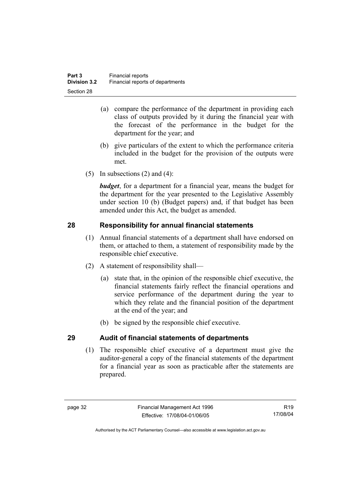- (a) compare the performance of the department in providing each class of outputs provided by it during the financial year with the forecast of the performance in the budget for the department for the year; and
- (b) give particulars of the extent to which the performance criteria included in the budget for the provision of the outputs were met.
- (5) In subsections  $(2)$  and  $(4)$ :

*budget*, for a department for a financial year, means the budget for the department for the year presented to the Legislative Assembly under section 10 (b) (Budget papers) and, if that budget has been amended under this Act, the budget as amended.

## **28 Responsibility for annual financial statements**

- (1) Annual financial statements of a department shall have endorsed on them, or attached to them, a statement of responsibility made by the responsible chief executive.
- (2) A statement of responsibility shall—
	- (a) state that, in the opinion of the responsible chief executive, the financial statements fairly reflect the financial operations and service performance of the department during the year to which they relate and the financial position of the department at the end of the year; and
	- (b) be signed by the responsible chief executive.

## **29 Audit of financial statements of departments**

 (1) The responsible chief executive of a department must give the auditor-general a copy of the financial statements of the department for a financial year as soon as practicable after the statements are prepared.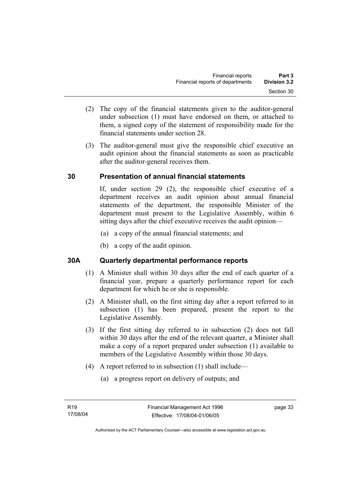- (2) The copy of the financial statements given to the auditor-general under subsection (1) must have endorsed on them, or attached to them, a signed copy of the statement of responsibility made for the financial statements under section 28.
- (3) The auditor-general must give the responsible chief executive an audit opinion about the financial statements as soon as practicable after the auditor-general receives them.

## **30 Presentation of annual financial statements**

If, under section 29 (2), the responsible chief executive of a department receives an audit opinion about annual financial statements of the department, the responsible Minister of the department must present to the Legislative Assembly, within 6 sitting days after the chief executive receives the audit opinion—

- (a) a copy of the annual financial statements; and
- (b) a copy of the audit opinion.

## **30A Quarterly departmental performance reports**

- (1) A Minister shall within 30 days after the end of each quarter of a financial year, prepare a quarterly performance report for each department for which he or she is responsible.
- (2) A Minister shall, on the first sitting day after a report referred to in subsection (1) has been prepared, present the report to the Legislative Assembly.
- (3) If the first sitting day referred to in subsection (2) does not fall within 30 days after the end of the relevant quarter, a Minister shall make a copy of a report prepared under subsection (1) available to members of the Legislative Assembly within those 30 days.
- (4) A report referred to in subsection (1) shall include—
	- (a) a progress report on delivery of outputs; and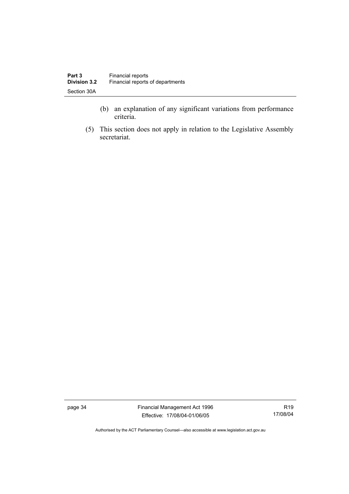- (b) an explanation of any significant variations from performance criteria.
- (5) This section does not apply in relation to the Legislative Assembly secretariat.

page 34 Financial Management Act 1996 Effective: 17/08/04-01/06/05

R19 17/08/04

Authorised by the ACT Parliamentary Counsel—also accessible at www.legislation.act.gov.au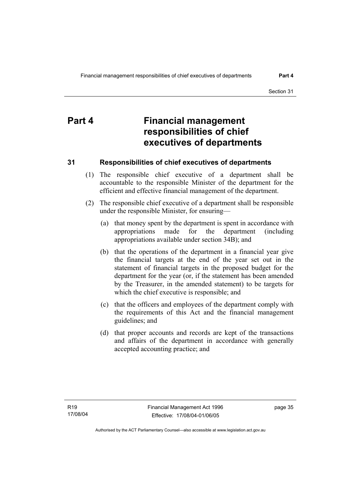# **Part 4 Financial management responsibilities of chief executives of departments**

## **31 Responsibilities of chief executives of departments**

- (1) The responsible chief executive of a department shall be accountable to the responsible Minister of the department for the efficient and effective financial management of the department.
- (2) The responsible chief executive of a department shall be responsible under the responsible Minister, for ensuring—
	- (a) that money spent by the department is spent in accordance with appropriations made for the department (including appropriations available under section 34B); and
	- (b) that the operations of the department in a financial year give the financial targets at the end of the year set out in the statement of financial targets in the proposed budget for the department for the year (or, if the statement has been amended by the Treasurer, in the amended statement) to be targets for which the chief executive is responsible; and
	- (c) that the officers and employees of the department comply with the requirements of this Act and the financial management guidelines; and
	- (d) that proper accounts and records are kept of the transactions and affairs of the department in accordance with generally accepted accounting practice; and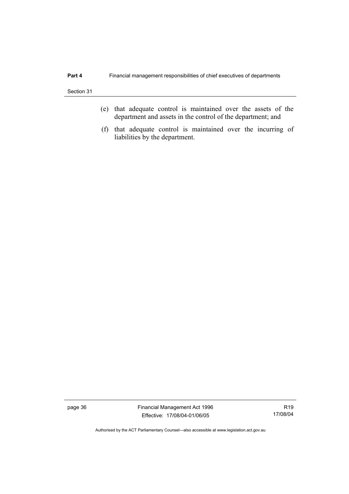- (e) that adequate control is maintained over the assets of the department and assets in the control of the department; and
- (f) that adequate control is maintained over the incurring of liabilities by the department.

page 36 Financial Management Act 1996 Effective: 17/08/04-01/06/05

R19 17/08/04

Authorised by the ACT Parliamentary Counsel—also accessible at www.legislation.act.gov.au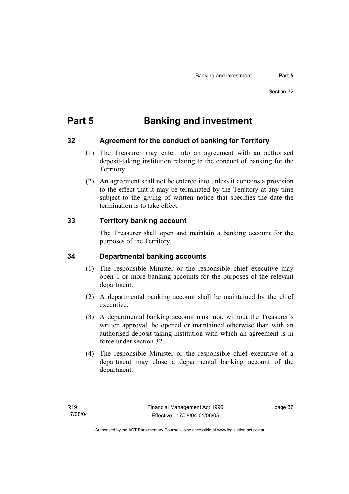# **Part 5 Banking and investment**

## **32 Agreement for the conduct of banking for Territory**

- (1) The Treasurer may enter into an agreement with an authorised deposit-taking institution relating to the conduct of banking for the Territory.
- (2) An agreement shall not be entered into unless it contains a provision to the effect that it may be terminated by the Territory at any time subject to the giving of written notice that specifies the date the termination is to take effect.

## **33 Territory banking account**

The Treasurer shall open and maintain a banking account for the purposes of the Territory.

## **34 Departmental banking accounts**

- (1) The responsible Minister or the responsible chief executive may open 1 or more banking accounts for the purposes of the relevant department.
- (2) A departmental banking account shall be maintained by the chief executive.
- (3) A departmental banking account must not, without the Treasurer's written approval, be opened or maintained otherwise than with an authorised deposit-taking institution with which an agreement is in force under section 32.
- (4) The responsible Minister or the responsible chief executive of a department may close a departmental banking account of the department.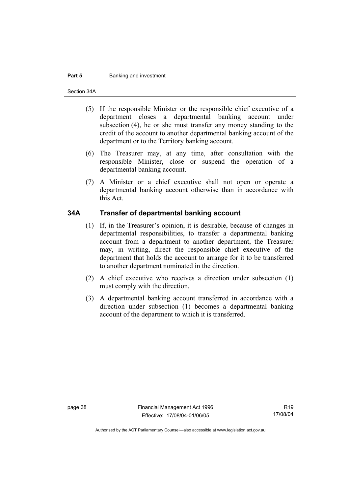#### **Part 5 Banking and investment**

Section 34A

- (5) If the responsible Minister or the responsible chief executive of a department closes a departmental banking account under subsection (4), he or she must transfer any money standing to the credit of the account to another departmental banking account of the department or to the Territory banking account.
- (6) The Treasurer may, at any time, after consultation with the responsible Minister, close or suspend the operation of a departmental banking account.
- (7) A Minister or a chief executive shall not open or operate a departmental banking account otherwise than in accordance with this Act.

#### **34A Transfer of departmental banking account**

- (1) If, in the Treasurer's opinion, it is desirable, because of changes in departmental responsibilities, to transfer a departmental banking account from a department to another department, the Treasurer may, in writing, direct the responsible chief executive of the department that holds the account to arrange for it to be transferred to another department nominated in the direction.
- (2) A chief executive who receives a direction under subsection (1) must comply with the direction.
- (3) A departmental banking account transferred in accordance with a direction under subsection (1) becomes a departmental banking account of the department to which it is transferred.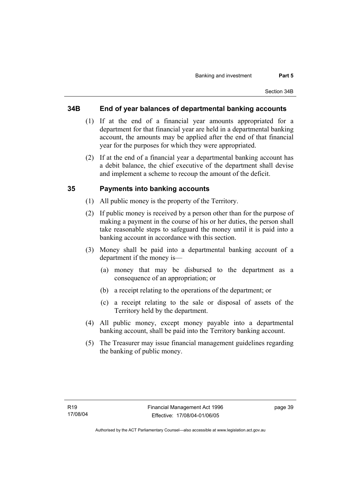#### **34B End of year balances of departmental banking accounts**

- (1) If at the end of a financial year amounts appropriated for a department for that financial year are held in a departmental banking account, the amounts may be applied after the end of that financial year for the purposes for which they were appropriated.
- (2) If at the end of a financial year a departmental banking account has a debit balance, the chief executive of the department shall devise and implement a scheme to recoup the amount of the deficit.

#### **35 Payments into banking accounts**

- (1) All public money is the property of the Territory.
- (2) If public money is received by a person other than for the purpose of making a payment in the course of his or her duties, the person shall take reasonable steps to safeguard the money until it is paid into a banking account in accordance with this section.
- (3) Money shall be paid into a departmental banking account of a department if the money is—
	- (a) money that may be disbursed to the department as a consequence of an appropriation; or
	- (b) a receipt relating to the operations of the department; or
	- (c) a receipt relating to the sale or disposal of assets of the Territory held by the department.
- (4) All public money, except money payable into a departmental banking account, shall be paid into the Territory banking account.
- (5) The Treasurer may issue financial management guidelines regarding the banking of public money.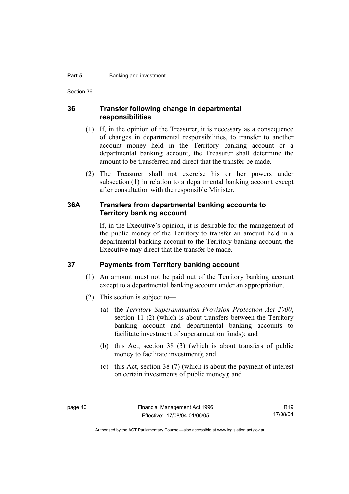#### **Part 5 Banking and investment**

Section 36

#### **36 Transfer following change in departmental responsibilities**

- (1) If, in the opinion of the Treasurer, it is necessary as a consequence of changes in departmental responsibilities, to transfer to another account money held in the Territory banking account or a departmental banking account, the Treasurer shall determine the amount to be transferred and direct that the transfer be made.
- (2) The Treasurer shall not exercise his or her powers under subsection (1) in relation to a departmental banking account except after consultation with the responsible Minister.

#### **36A Transfers from departmental banking accounts to Territory banking account**

If, in the Executive's opinion, it is desirable for the management of the public money of the Territory to transfer an amount held in a departmental banking account to the Territory banking account, the Executive may direct that the transfer be made.

#### **37 Payments from Territory banking account**

- (1) An amount must not be paid out of the Territory banking account except to a departmental banking account under an appropriation.
- (2) This section is subject to—
	- (a) the *Territory Superannuation Provision Protection Act 2000*, section 11 (2) (which is about transfers between the Territory banking account and departmental banking accounts to facilitate investment of superannuation funds); and
	- (b) this Act, section 38 (3) (which is about transfers of public money to facilitate investment); and
	- (c) this Act, section 38 (7) (which is about the payment of interest on certain investments of public money); and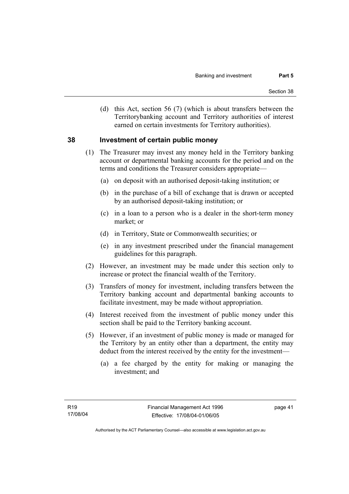(d) this Act, section 56 (7) (which is about transfers between the Territorybanking account and Territory authorities of interest earned on certain investments for Territory authorities).

#### **38 Investment of certain public money**

- (1) The Treasurer may invest any money held in the Territory banking account or departmental banking accounts for the period and on the terms and conditions the Treasurer considers appropriate—
	- (a) on deposit with an authorised deposit-taking institution; or
	- (b) in the purchase of a bill of exchange that is drawn or accepted by an authorised deposit-taking institution; or
	- (c) in a loan to a person who is a dealer in the short-term money market; or
	- (d) in Territory, State or Commonwealth securities; or
	- (e) in any investment prescribed under the financial management guidelines for this paragraph.
- (2) However, an investment may be made under this section only to increase or protect the financial wealth of the Territory.
- (3) Transfers of money for investment, including transfers between the Territory banking account and departmental banking accounts to facilitate investment, may be made without appropriation.
- (4) Interest received from the investment of public money under this section shall be paid to the Territory banking account.
- (5) However, if an investment of public money is made or managed for the Territory by an entity other than a department, the entity may deduct from the interest received by the entity for the investment—
	- (a) a fee charged by the entity for making or managing the investment; and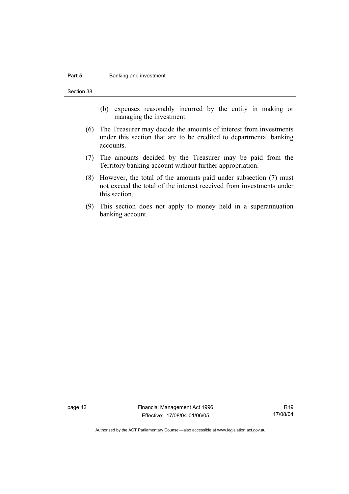#### **Part 5 Banking and investment**

Section 38

- (b) expenses reasonably incurred by the entity in making or managing the investment.
- (6) The Treasurer may decide the amounts of interest from investments under this section that are to be credited to departmental banking accounts.
- (7) The amounts decided by the Treasurer may be paid from the Territory banking account without further appropriation.
- (8) However, the total of the amounts paid under subsection (7) must not exceed the total of the interest received from investments under this section.
- (9) This section does not apply to money held in a superannuation banking account.

page 42 Financial Management Act 1996 Effective: 17/08/04-01/06/05

R19 17/08/04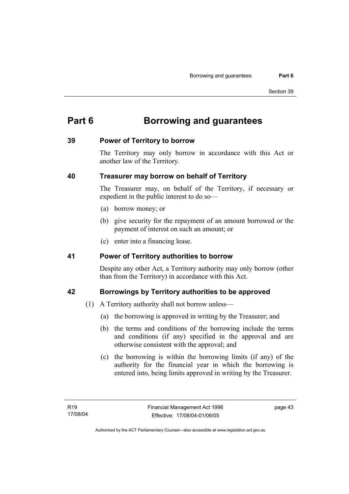# **Part 6 Borrowing and guarantees**

#### **39 Power of Territory to borrow**

The Territory may only borrow in accordance with this Act or another law of the Territory.

## **40 Treasurer may borrow on behalf of Territory**

The Treasurer may, on behalf of the Territory, if necessary or expedient in the public interest to do so—

- (a) borrow money; or
- (b) give security for the repayment of an amount borrowed or the payment of interest on such an amount; or
- (c) enter into a financing lease.

#### **41 Power of Territory authorities to borrow**

Despite any other Act, a Territory authority may only borrow (other than from the Territory) in accordance with this Act.

## **42 Borrowings by Territory authorities to be approved**

- (1) A Territory authority shall not borrow unless—
	- (a) the borrowing is approved in writing by the Treasurer; and
	- (b) the terms and conditions of the borrowing include the terms and conditions (if any) specified in the approval and are otherwise consistent with the approval; and
	- (c) the borrowing is within the borrowing limits (if any) of the authority for the financial year in which the borrowing is entered into, being limits approved in writing by the Treasurer.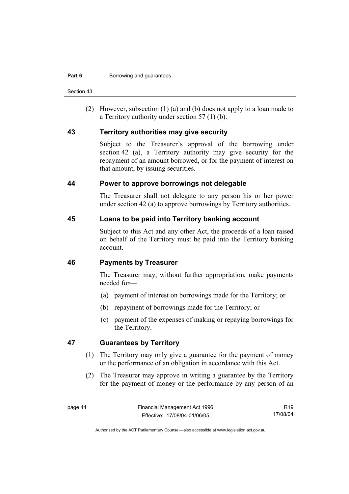Section 43

 (2) However, subsection (1) (a) and (b) does not apply to a loan made to a Territory authority under section 57 (1) (b).

#### **43 Territory authorities may give security**

Subject to the Treasurer's approval of the borrowing under section 42 (a), a Territory authority may give security for the repayment of an amount borrowed, or for the payment of interest on that amount, by issuing securities.

#### **44 Power to approve borrowings not delegable**

The Treasurer shall not delegate to any person his or her power under section 42 (a) to approve borrowings by Territory authorities.

#### **45 Loans to be paid into Territory banking account**

Subject to this Act and any other Act, the proceeds of a loan raised on behalf of the Territory must be paid into the Territory banking account.

#### **46 Payments by Treasurer**

The Treasurer may, without further appropriation, make payments needed for—

- (a) payment of interest on borrowings made for the Territory; or
- (b) repayment of borrowings made for the Territory; or
- (c) payment of the expenses of making or repaying borrowings for the Territory.

#### **47 Guarantees by Territory**

- (1) The Territory may only give a guarantee for the payment of money or the performance of an obligation in accordance with this Act.
- (2) The Treasurer may approve in writing a guarantee by the Territory for the payment of money or the performance by any person of an

R19 17/08/04

Authorised by the ACT Parliamentary Counsel—also accessible at www.legislation.act.gov.au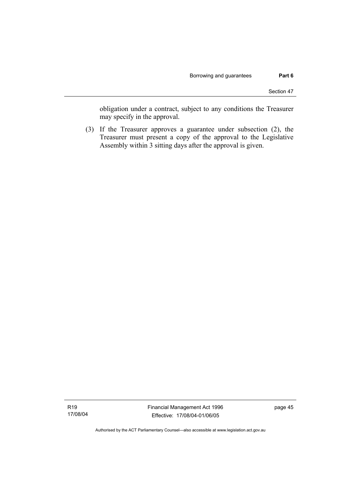obligation under a contract, subject to any conditions the Treasurer may specify in the approval.

 (3) If the Treasurer approves a guarantee under subsection (2), the Treasurer must present a copy of the approval to the Legislative Assembly within 3 sitting days after the approval is given.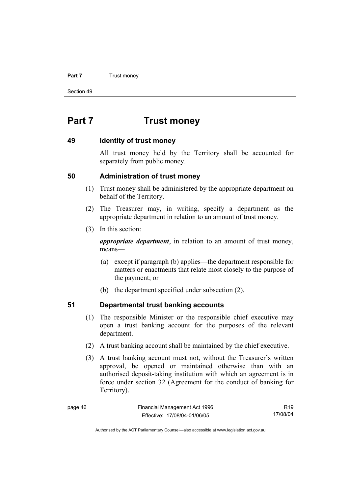#### **Part 7 Trust money**

Section 49

# **Part 7 Trust money**

#### **49 Identity of trust money**

All trust money held by the Territory shall be accounted for separately from public money.

#### **50 Administration of trust money**

- (1) Trust money shall be administered by the appropriate department on behalf of the Territory.
- (2) The Treasurer may, in writing, specify a department as the appropriate department in relation to an amount of trust money.
- (3) In this section:

*appropriate department*, in relation to an amount of trust money, means—

- (a) except if paragraph (b) applies—the department responsible for matters or enactments that relate most closely to the purpose of the payment; or
- (b) the department specified under subsection (2).

## **51 Departmental trust banking accounts**

- (1) The responsible Minister or the responsible chief executive may open a trust banking account for the purposes of the relevant department.
- (2) A trust banking account shall be maintained by the chief executive.
- (3) A trust banking account must not, without the Treasurer's written approval, be opened or maintained otherwise than with an authorised deposit-taking institution with which an agreement is in force under section 32 (Agreement for the conduct of banking for Territory).

| page 46 | Financial Management Act 1996 | R <sub>19</sub> |
|---------|-------------------------------|-----------------|
|         | Effective: 17/08/04-01/06/05  | 17/08/04        |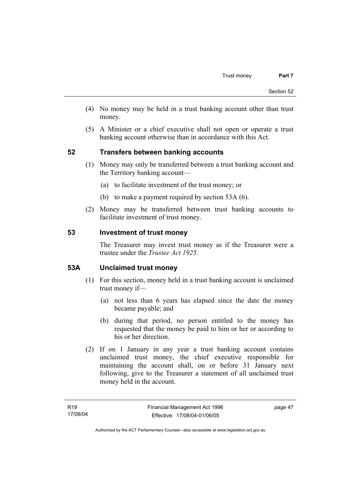- (4) No money may be held in a trust banking account other than trust money.
- (5) A Minister or a chief executive shall not open or operate a trust banking account otherwise than in accordance with this Act.

## **52 Transfers between banking accounts**

- (1) Money may only be transferred between a trust banking account and the Territory banking account—
	- (a) to facilitate investment of the trust money; or
	- (b) to make a payment required by section 53A (6).
- (2) Money may be transferred between trust banking accounts to facilitate investment of trust money.

#### **53 Investment of trust money**

The Treasurer may invest trust money as if the Treasurer were a trustee under the *Trustee Act 1925.*

#### **53A Unclaimed trust money**

- (1) For this section, money held in a trust banking account is unclaimed trust money if—
	- (a) not less than 6 years has elapsed since the date the money became payable; and
	- (b) during that period, no person entitled to the money has requested that the money be paid to him or her or according to his or her direction.
- (2) If on 1 January in any year a trust banking account contains unclaimed trust money, the chief executive responsible for maintaining the account shall, on or before 31 January next following, give to the Treasurer a statement of all unclaimed trust money held in the account.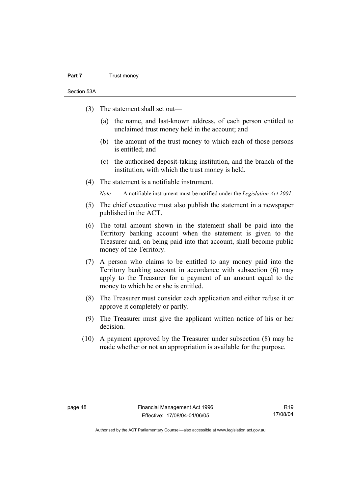#### **Part 7** Trust money

Section 53A

- (3) The statement shall set out—
	- (a) the name, and last-known address, of each person entitled to unclaimed trust money held in the account; and
	- (b) the amount of the trust money to which each of those persons is entitled; and
	- (c) the authorised deposit-taking institution, and the branch of the institution, with which the trust money is held.
- (4) The statement is a notifiable instrument.

*Note* A notifiable instrument must be notified under the *Legislation Act 2001*.

- (5) The chief executive must also publish the statement in a newspaper published in the ACT.
- (6) The total amount shown in the statement shall be paid into the Territory banking account when the statement is given to the Treasurer and, on being paid into that account, shall become public money of the Territory.
- (7) A person who claims to be entitled to any money paid into the Territory banking account in accordance with subsection (6) may apply to the Treasurer for a payment of an amount equal to the money to which he or she is entitled.
- (8) The Treasurer must consider each application and either refuse it or approve it completely or partly.
- (9) The Treasurer must give the applicant written notice of his or her decision.
- (10) A payment approved by the Treasurer under subsection (8) may be made whether or not an appropriation is available for the purpose.

R19 17/08/04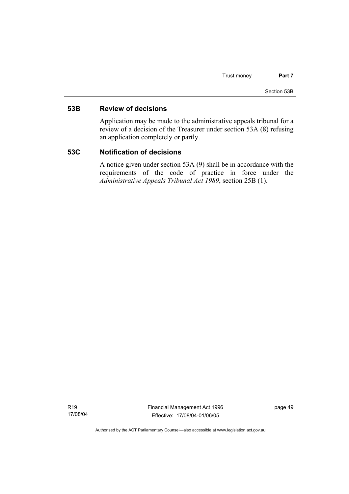#### **53B Review of decisions**

Application may be made to the administrative appeals tribunal for a review of a decision of the Treasurer under section 53A (8) refusing an application completely or partly.

#### **53C Notification of decisions**

A notice given under section 53A (9) shall be in accordance with the requirements of the code of practice in force under the *Administrative Appeals Tribunal Act 1989*, section 25B (1).

Financial Management Act 1996 Effective: 17/08/04-01/06/05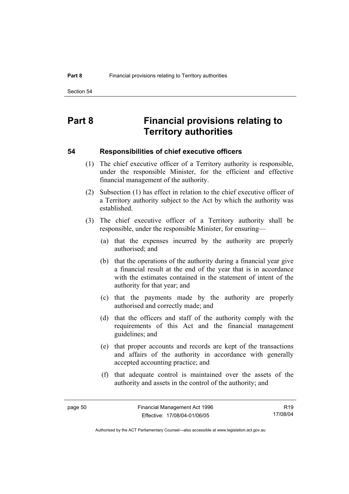# **Part 8 Financial provisions relating to Territory authorities**

#### **54 Responsibilities of chief executive officers**

- (1) The chief executive officer of a Territory authority is responsible, under the responsible Minister, for the efficient and effective financial management of the authority.
- (2) Subsection (1) has effect in relation to the chief executive officer of a Territory authority subject to the Act by which the authority was established.
- (3) The chief executive officer of a Territory authority shall be responsible, under the responsible Minister, for ensuring—
	- (a) that the expenses incurred by the authority are properly authorised; and
	- (b) that the operations of the authority during a financial year give a financial result at the end of the year that is in accordance with the estimates contained in the statement of intent of the authority for that year; and
	- (c) that the payments made by the authority are properly authorised and correctly made; and
	- (d) that the officers and staff of the authority comply with the requirements of this Act and the financial management guidelines; and
	- (e) that proper accounts and records are kept of the transactions and affairs of the authority in accordance with generally accepted accounting practice; and
	- (f) that adequate control is maintained over the assets of the authority and assets in the control of the authority; and

R19 17/08/04

Authorised by the ACT Parliamentary Counsel—also accessible at www.legislation.act.gov.au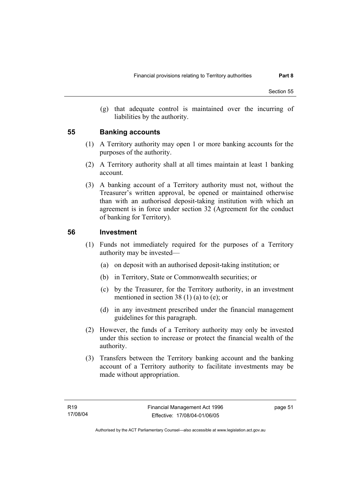(g) that adequate control is maintained over the incurring of liabilities by the authority.

#### **55 Banking accounts**

- (1) A Territory authority may open 1 or more banking accounts for the purposes of the authority.
- (2) A Territory authority shall at all times maintain at least 1 banking account.
- (3) A banking account of a Territory authority must not, without the Treasurer's written approval, be opened or maintained otherwise than with an authorised deposit-taking institution with which an agreement is in force under section 32 (Agreement for the conduct of banking for Territory).

#### **56 Investment**

- (1) Funds not immediately required for the purposes of a Territory authority may be invested—
	- (a) on deposit with an authorised deposit-taking institution; or
	- (b) in Territory, State or Commonwealth securities; or
	- (c) by the Treasurer, for the Territory authority, in an investment mentioned in section 38 (1) (a) to (e); or
	- (d) in any investment prescribed under the financial management guidelines for this paragraph.
- (2) However, the funds of a Territory authority may only be invested under this section to increase or protect the financial wealth of the authority.
- (3) Transfers between the Territory banking account and the banking account of a Territory authority to facilitate investments may be made without appropriation.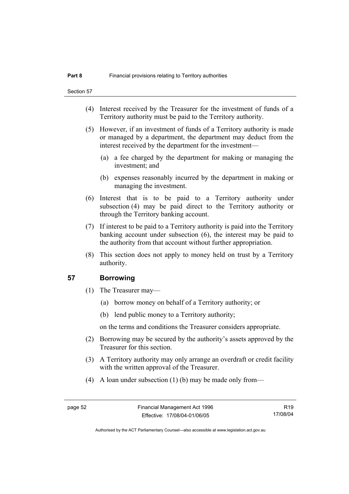- (4) Interest received by the Treasurer for the investment of funds of a Territory authority must be paid to the Territory authority.
- (5) However, if an investment of funds of a Territory authority is made or managed by a department, the department may deduct from the interest received by the department for the investment—
	- (a) a fee charged by the department for making or managing the investment; and
	- (b) expenses reasonably incurred by the department in making or managing the investment.
- (6) Interest that is to be paid to a Territory authority under subsection (4) may be paid direct to the Territory authority or through the Territory banking account.
- (7) If interest to be paid to a Territory authority is paid into the Territory banking account under subsection (6), the interest may be paid to the authority from that account without further appropriation.
- (8) This section does not apply to money held on trust by a Territory authority.

#### **57 Borrowing**

- (1) The Treasurer may—
	- (a) borrow money on behalf of a Territory authority; or
	- (b) lend public money to a Territory authority;

on the terms and conditions the Treasurer considers appropriate.

- (2) Borrowing may be secured by the authority's assets approved by the Treasurer for this section.
- (3) A Territory authority may only arrange an overdraft or credit facility with the written approval of the Treasurer.
- (4) A loan under subsection (1) (b) may be made only from—

R19 17/08/04

Authorised by the ACT Parliamentary Counsel—also accessible at www.legislation.act.gov.au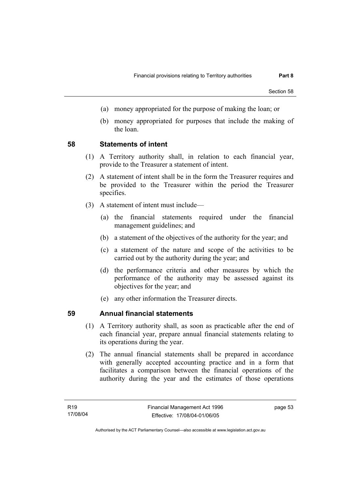- (a) money appropriated for the purpose of making the loan; or
- (b) money appropriated for purposes that include the making of the loan.

#### **58 Statements of intent**

- (1) A Territory authority shall, in relation to each financial year, provide to the Treasurer a statement of intent.
- (2) A statement of intent shall be in the form the Treasurer requires and be provided to the Treasurer within the period the Treasurer specifies.
- (3) A statement of intent must include—
	- (a) the financial statements required under the financial management guidelines; and
	- (b) a statement of the objectives of the authority for the year; and
	- (c) a statement of the nature and scope of the activities to be carried out by the authority during the year; and
	- (d) the performance criteria and other measures by which the performance of the authority may be assessed against its objectives for the year; and
	- (e) any other information the Treasurer directs.

#### **59 Annual financial statements**

- (1) A Territory authority shall, as soon as practicable after the end of each financial year, prepare annual financial statements relating to its operations during the year.
- (2) The annual financial statements shall be prepared in accordance with generally accepted accounting practice and in a form that facilitates a comparison between the financial operations of the authority during the year and the estimates of those operations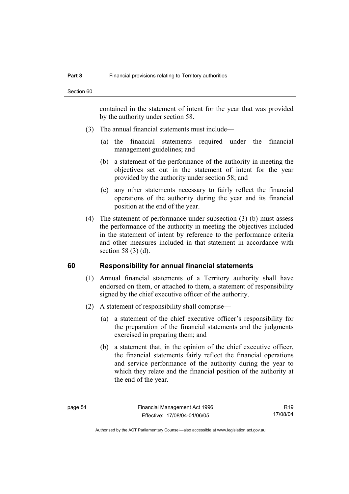contained in the statement of intent for the year that was provided by the authority under section 58.

- (3) The annual financial statements must include—
	- (a) the financial statements required under the financial management guidelines; and
	- (b) a statement of the performance of the authority in meeting the objectives set out in the statement of intent for the year provided by the authority under section 58; and
	- (c) any other statements necessary to fairly reflect the financial operations of the authority during the year and its financial position at the end of the year.
- (4) The statement of performance under subsection (3) (b) must assess the performance of the authority in meeting the objectives included in the statement of intent by reference to the performance criteria and other measures included in that statement in accordance with section 58 (3) (d).

#### **60 Responsibility for annual financial statements**

- (1) Annual financial statements of a Territory authority shall have endorsed on them, or attached to them, a statement of responsibility signed by the chief executive officer of the authority.
- (2) A statement of responsibility shall comprise—
	- (a) a statement of the chief executive officer's responsibility for the preparation of the financial statements and the judgments exercised in preparing them; and
	- (b) a statement that, in the opinion of the chief executive officer, the financial statements fairly reflect the financial operations and service performance of the authority during the year to which they relate and the financial position of the authority at the end of the year.

R19 17/08/04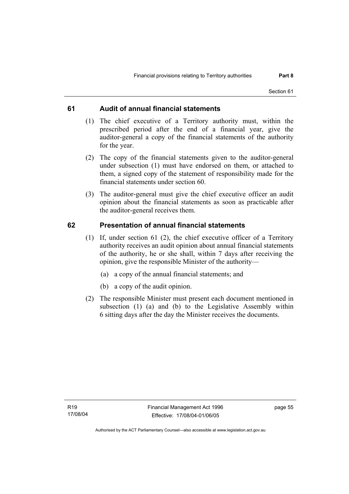#### **61 Audit of annual financial statements**

- (1) The chief executive of a Territory authority must, within the prescribed period after the end of a financial year, give the auditor-general a copy of the financial statements of the authority for the year.
- (2) The copy of the financial statements given to the auditor-general under subsection (1) must have endorsed on them, or attached to them, a signed copy of the statement of responsibility made for the financial statements under section 60.
- (3) The auditor-general must give the chief executive officer an audit opinion about the financial statements as soon as practicable after the auditor-general receives them.

#### **62 Presentation of annual financial statements**

- (1) If, under section 61 (2), the chief executive officer of a Territory authority receives an audit opinion about annual financial statements of the authority, he or she shall, within 7 days after receiving the opinion, give the responsible Minister of the authority—
	- (a) a copy of the annual financial statements; and
	- (b) a copy of the audit opinion.
- (2) The responsible Minister must present each document mentioned in subsection (1) (a) and (b) to the Legislative Assembly within 6 sitting days after the day the Minister receives the documents.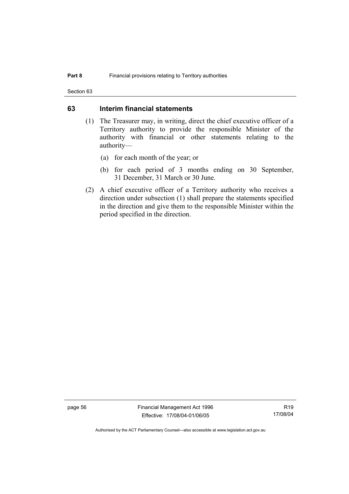Section 63

#### **63 Interim financial statements**

- (1) The Treasurer may, in writing, direct the chief executive officer of a Territory authority to provide the responsible Minister of the authority with financial or other statements relating to the authority—
	- (a) for each month of the year; or
	- (b) for each period of 3 months ending on 30 September, 31 December, 31 March or 30 June.
- (2) A chief executive officer of a Territory authority who receives a direction under subsection (1) shall prepare the statements specified in the direction and give them to the responsible Minister within the period specified in the direction.

page 56 Financial Management Act 1996 Effective: 17/08/04-01/06/05

R19 17/08/04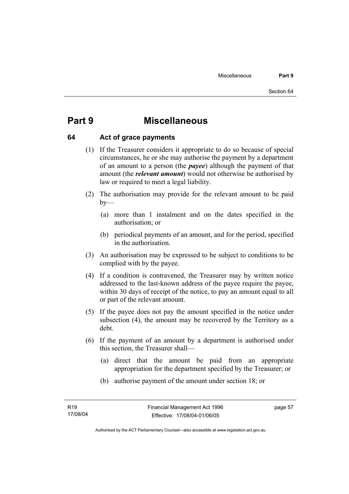# **Part 9 Miscellaneous**

#### **64 Act of grace payments**

- (1) If the Treasurer considers it appropriate to do so because of special circumstances, he or she may authorise the payment by a department of an amount to a person (the *payee*) although the payment of that amount (the *relevant amount*) would not otherwise be authorised by law or required to meet a legal liability.
- (2) The authorisation may provide for the relevant amount to be paid  $by-$ 
	- (a) more than 1 instalment and on the dates specified in the authorisation; or
	- (b) periodical payments of an amount, and for the period, specified in the authorisation.
- (3) An authorisation may be expressed to be subject to conditions to be complied with by the payee.
- (4) If a condition is contravened, the Treasurer may by written notice addressed to the last-known address of the payee require the payee, within 30 days of receipt of the notice, to pay an amount equal to all or part of the relevant amount.
- (5) If the payee does not pay the amount specified in the notice under subsection (4), the amount may be recovered by the Territory as a debt.
- (6) If the payment of an amount by a department is authorised under this section, the Treasurer shall—
	- (a) direct that the amount be paid from an appropriate appropriation for the department specified by the Treasurer; or
	- (b) authorise payment of the amount under section 18; or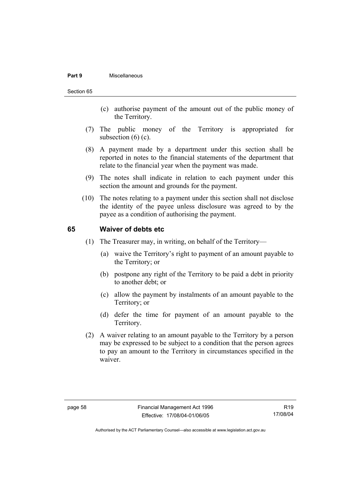#### **Part 9** Miscellaneous

#### Section 65

- (c) authorise payment of the amount out of the public money of the Territory.
- (7) The public money of the Territory is appropriated for subsection  $(6)$   $(c)$ .
- (8) A payment made by a department under this section shall be reported in notes to the financial statements of the department that relate to the financial year when the payment was made.
- (9) The notes shall indicate in relation to each payment under this section the amount and grounds for the payment.
- (10) The notes relating to a payment under this section shall not disclose the identity of the payee unless disclosure was agreed to by the payee as a condition of authorising the payment.

#### **65 Waiver of debts etc**

- (1) The Treasurer may, in writing, on behalf of the Territory—
	- (a) waive the Territory's right to payment of an amount payable to the Territory; or
	- (b) postpone any right of the Territory to be paid a debt in priority to another debt; or
	- (c) allow the payment by instalments of an amount payable to the Territory; or
	- (d) defer the time for payment of an amount payable to the Territory.
- (2) A waiver relating to an amount payable to the Territory by a person may be expressed to be subject to a condition that the person agrees to pay an amount to the Territory in circumstances specified in the waiver.

R19 17/08/04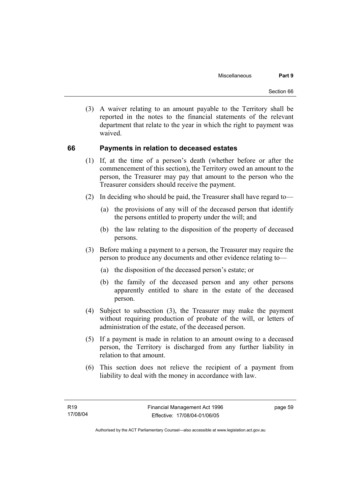(3) A waiver relating to an amount payable to the Territory shall be reported in the notes to the financial statements of the relevant department that relate to the year in which the right to payment was waived.

#### **66 Payments in relation to deceased estates**

- (1) If, at the time of a person's death (whether before or after the commencement of this section), the Territory owed an amount to the person, the Treasurer may pay that amount to the person who the Treasurer considers should receive the payment.
- (2) In deciding who should be paid, the Treasurer shall have regard to—
	- (a) the provisions of any will of the deceased person that identify the persons entitled to property under the will; and
	- (b) the law relating to the disposition of the property of deceased persons.
- (3) Before making a payment to a person, the Treasurer may require the person to produce any documents and other evidence relating to—
	- (a) the disposition of the deceased person's estate; or
	- (b) the family of the deceased person and any other persons apparently entitled to share in the estate of the deceased person.
- (4) Subject to subsection (3), the Treasurer may make the payment without requiring production of probate of the will, or letters of administration of the estate, of the deceased person.
- (5) If a payment is made in relation to an amount owing to a deceased person, the Territory is discharged from any further liability in relation to that amount.
- (6) This section does not relieve the recipient of a payment from liability to deal with the money in accordance with law.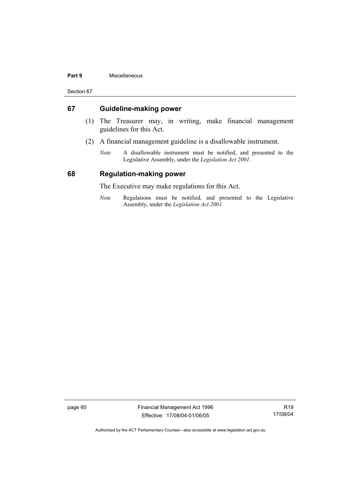#### **Part 9** Miscellaneous

Section 67

#### **67 Guideline-making power**

- (1) The Treasurer may, in writing, make financial management guidelines for this Act.
- (2) A financial management guideline is a disallowable instrument.
	- *Note* A disallowable instrument must be notified, and presented to the Legislative Assembly, under the *Legislation Act 2001*.

#### **68 Regulation-making power**

The Executive may make regulations for this Act.

*Note* Regulations must be notified, and presented to the Legislative Assembly, under the *Legislation Act 2001*.

page 60 Financial Management Act 1996 Effective: 17/08/04-01/06/05

R19 17/08/04

Authorised by the ACT Parliamentary Counsel—also accessible at www.legislation.act.gov.au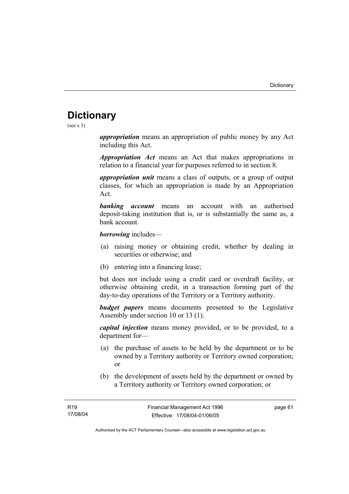# **Dictionary**

(see s 3)

*appropriation* means an appropriation of public money by any Act including this Act.

*Appropriation Act* means an Act that makes appropriations in relation to a financial year for purposes referred to in section 8.

*appropriation unit* means a class of outputs, or a group of output classes, for which an appropriation is made by an Appropriation Act.

*banking account* means an account with an authorised deposit-taking institution that is, or is substantially the same as, a bank account.

*borrowing* includes—

- (a) raising money or obtaining credit, whether by dealing in securities or otherwise; and
- (b) entering into a financing lease;

but does not include using a credit card or overdraft facility, or otherwise obtaining credit, in a transaction forming part of the day-to-day operations of the Territory or a Territory authority.

*budget papers* means documents presented to the Legislative Assembly under section 10 or 13 (1).

*capital injection* means money provided, or to be provided, to a department for—

- (a) the purchase of assets to be held by the department or to be owned by a Territory authority or Territory owned corporation; or
- (b) the development of assets held by the department or owned by a Territory authority or Territory owned corporation; or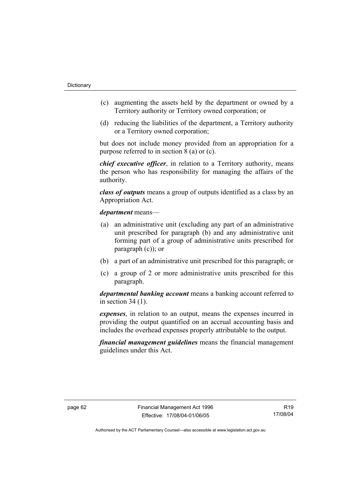- (c) augmenting the assets held by the department or owned by a Territory authority or Territory owned corporation; or
- (d) reducing the liabilities of the department, a Territory authority or a Territory owned corporation;

but does not include money provided from an appropriation for a purpose referred to in section 8 (a) or (c).

*chief executive officer*, in relation to a Territory authority, means the person who has responsibility for managing the affairs of the authority.

*class of outputs* means a group of outputs identified as a class by an Appropriation Act.

*department* means—

- (a) an administrative unit (excluding any part of an administrative unit prescribed for paragraph (b) and any administrative unit forming part of a group of administrative units prescribed for paragraph (c)); or
- (b) a part of an administrative unit prescribed for this paragraph; or
- (c) a group of 2 or more administrative units prescribed for this paragraph.

*departmental banking account* means a banking account referred to in section 34 (1).

*expenses*, in relation to an output, means the expenses incurred in providing the output quantified on an accrual accounting basis and includes the overhead expenses properly attributable to the output.

*financial management guidelines* means the financial management guidelines under this Act.

R19 17/08/04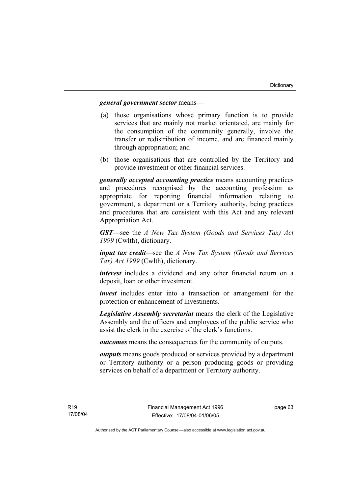#### *general government sector* means—

- (a) those organisations whose primary function is to provide services that are mainly not market orientated, are mainly for the consumption of the community generally, involve the transfer or redistribution of income, and are financed mainly through appropriation; and
- (b) those organisations that are controlled by the Territory and provide investment or other financial services.

*generally accepted accounting practice* means accounting practices and procedures recognised by the accounting profession as appropriate for reporting financial information relating to government, a department or a Territory authority, being practices and procedures that are consistent with this Act and any relevant Appropriation Act.

*GST*—see the *A New Tax System (Goods and Services Tax) Act 1999* (Cwlth), dictionary.

*input tax credit*—see the *A New Tax System (Goods and Services Tax) Act 1999* (Cwlth), dictionary.

*interest* includes a dividend and any other financial return on a deposit, loan or other investment.

*invest* includes enter into a transaction or arrangement for the protection or enhancement of investments.

*Legislative Assembly secretariat* means the clerk of the Legislative Assembly and the officers and employees of the public service who assist the clerk in the exercise of the clerk's functions.

*outcomes* means the consequences for the community of outputs.

*outputs* means goods produced or services provided by a department or Territory authority or a person producing goods or providing services on behalf of a department or Territory authority.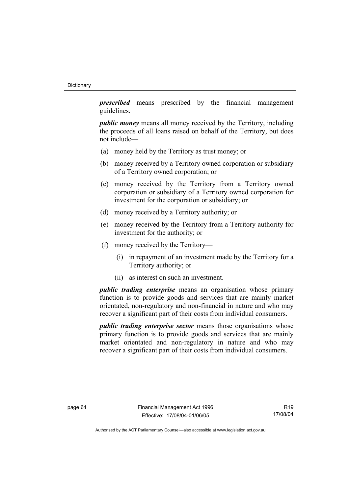*prescribed* means prescribed by the financial management guidelines.

*public money* means all money received by the Territory, including the proceeds of all loans raised on behalf of the Territory, but does not include—

- (a) money held by the Territory as trust money; or
- (b) money received by a Territory owned corporation or subsidiary of a Territory owned corporation; or
- (c) money received by the Territory from a Territory owned corporation or subsidiary of a Territory owned corporation for investment for the corporation or subsidiary; or
- (d) money received by a Territory authority; or
- (e) money received by the Territory from a Territory authority for investment for the authority; or
- (f) money received by the Territory—
	- (i) in repayment of an investment made by the Territory for a Territory authority; or
	- (ii) as interest on such an investment.

*public trading enterprise* means an organisation whose primary function is to provide goods and services that are mainly market orientated, non-regulatory and non-financial in nature and who may recover a significant part of their costs from individual consumers.

*public trading enterprise sector* means those organisations whose primary function is to provide goods and services that are mainly market orientated and non-regulatory in nature and who may recover a significant part of their costs from individual consumers.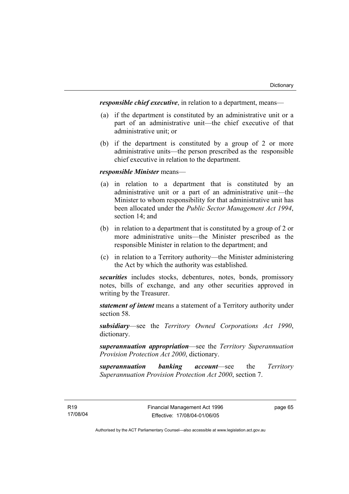*responsible chief executive*, in relation to a department, means—

- (a) if the department is constituted by an administrative unit or a part of an administrative unit—the chief executive of that administrative unit; or
- (b) if the department is constituted by a group of 2 or more administrative units—the person prescribed as the responsible chief executive in relation to the department.

# *responsible Minister* means—

- (a) in relation to a department that is constituted by an administrative unit or a part of an administrative unit—the Minister to whom responsibility for that administrative unit has been allocated under the *Public Sector Management Act 1994*, section 14; and
- (b) in relation to a department that is constituted by a group of 2 or more administrative units—the Minister prescribed as the responsible Minister in relation to the department; and
- (c) in relation to a Territory authority—the Minister administering the Act by which the authority was established.

*securities* includes stocks, debentures, notes, bonds, promissory notes, bills of exchange, and any other securities approved in writing by the Treasurer.

*statement of intent* means a statement of a Territory authority under section 58.

*subsidiary*—see the *Territory Owned Corporations Act 1990*, dictionary.

*superannuation appropriation*—see the *Territory Superannuation Provision Protection Act 2000*, dictionary.

*superannuation banking account*—see the *Territory Superannuation Provision Protection Act 2000*, section 7.

page 65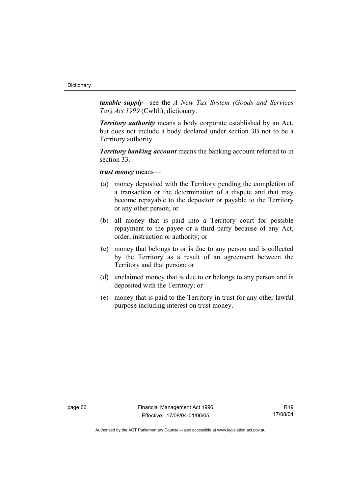*taxable supply*—see the *A New Tax System (Goods and Services Tax) Act 1999* (Cwlth), dictionary.

*Territory authority* means a body corporate established by an Act, but does not include a body declared under section 3B not to be a Territory authority.

*Territory banking account* means the banking account referred to in section 33.

*trust money* means—

- (a) money deposited with the Territory pending the completion of a transaction or the determination of a dispute and that may become repayable to the depositor or payable to the Territory or any other person; or
- (b) all money that is paid into a Territory court for possible repayment to the payee or a third party because of any Act, order, instruction or authority; or
- (c) money that belongs to or is due to any person and is collected by the Territory as a result of an agreement between the Territory and that person; or
- (d) unclaimed money that is due to or belongs to any person and is deposited with the Territory; or
- (e) money that is paid to the Territory in trust for any other lawful purpose including interest on trust money.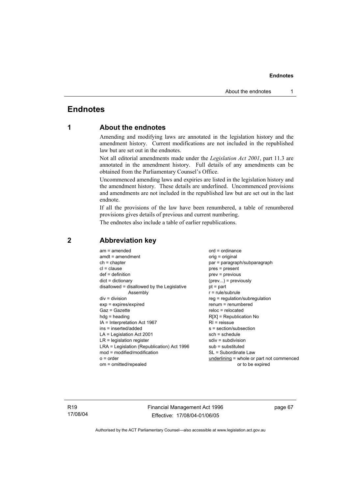# **Endnotes**

# **1 About the endnotes**

Amending and modifying laws are annotated in the legislation history and the amendment history. Current modifications are not included in the republished law but are set out in the endnotes.

Not all editorial amendments made under the *Legislation Act 2001*, part 11.3 are annotated in the amendment history. Full details of any amendments can be obtained from the Parliamentary Counsel's Office.

Uncommenced amending laws and expiries are listed in the legislation history and the amendment history. These details are underlined. Uncommenced provisions and amendments are not included in the republished law but are set out in the last endnote.

If all the provisions of the law have been renumbered, a table of renumbered provisions gives details of previous and current numbering.

The endnotes also include a table of earlier republications.

| $am = amended$                             | $ord = ordinance$                         |
|--------------------------------------------|-------------------------------------------|
| $amdt = amendment$                         | orig = original                           |
| $ch = chapter$                             | par = paragraph/subparagraph              |
| $cl = clause$                              | $pres = present$                          |
| $def = definition$                         | $prev = previous$                         |
| $dict = dictionary$                        | $(\text{prev})$ = previously              |
| disallowed = disallowed by the Legislative | $pt = part$                               |
| Assembly                                   | $r = rule/subrule$                        |
| $div = division$                           | reg = regulation/subregulation            |
| $exp = expires/expired$                    | $renum = renumbered$                      |
| $Gaz = Gazette$                            | $reloc = relocated$                       |
| $hda =$ heading                            | $R[X]$ = Republication No                 |
| $IA = Interpretation Act 1967$             | $R1$ = reissue                            |
| ins = inserted/added                       | $s = section/subsection$                  |
| $LA =$ Legislation Act 2001                | $sch = schedule$                          |
| $LR =$ legislation register                | $sdiv = subdivision$                      |
| LRA = Legislation (Republication) Act 1996 | $sub =$ substituted                       |
| mod = modified/modification                | SL = Subordinate Law                      |
| $o = order$                                | underlining = whole or part not commenced |
| om = omitted/repealed                      | or to be expired                          |

# **2 Abbreviation key**

R19 17/08/04 Financial Management Act 1996 Effective: 17/08/04-01/06/05

page 67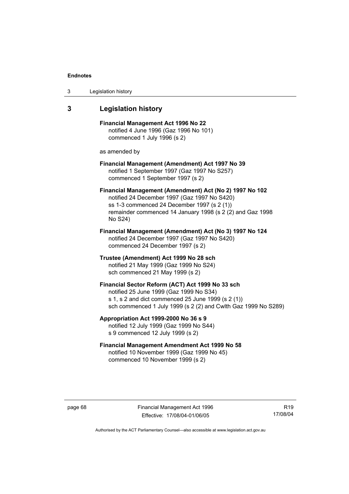| 3 | Legislation history |  |
|---|---------------------|--|
|---|---------------------|--|

# **3 Legislation history**

**Financial Management Act 1996 No 22**  notified 4 June 1996 (Gaz 1996 No 101) commenced 1 July 1996 (s 2)

as amended by

## **Financial Management (Amendment) Act 1997 No 39**  notified 1 September 1997 (Gaz 1997 No S257) commenced 1 September 1997 (s 2)

**Financial Management (Amendment) Act (No 2) 1997 No 102**  notified 24 December 1997 (Gaz 1997 No S420) ss 1-3 commenced 24 December 1997 (s 2 (1)) remainder commenced 14 January 1998 (s 2 (2) and Gaz 1998 No S24)

**Financial Management (Amendment) Act (No 3) 1997 No 124**  notified 24 December 1997 (Gaz 1997 No S420) commenced 24 December 1997 (s 2)

**Trustee (Amendment) Act 1999 No 28 sch**  notified 21 May 1999 (Gaz 1999 No S24) sch commenced 21 May 1999 (s 2)

## **Financial Sector Reform (ACT) Act 1999 No 33 sch**  notified 25 June 1999 (Gaz 1999 No S34) s 1, s 2 and dict commenced 25 June 1999 (s 2 (1)) sch commenced 1 July 1999 (s 2 (2) and Cwlth Gaz 1999 No S289)

**Appropriation Act 1999-2000 No 36 s 9**  notified 12 July 1999 (Gaz 1999 No S44) s 9 commenced 12 July 1999 (s 2)

# **Financial Management Amendment Act 1999 No 58**  notified 10 November 1999 (Gaz 1999 No 45) commenced 10 November 1999 (s 2)

page 68 Financial Management Act 1996 Effective: 17/08/04-01/06/05

R19 17/08/04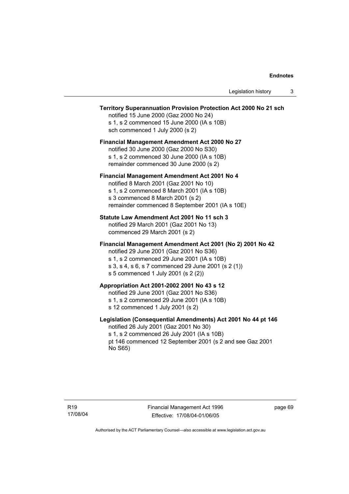# **Territory Superannuation Provision Protection Act 2000 No 21 sch**

notified 15 June 2000 (Gaz 2000 No 24) s 1, s 2 commenced 15 June 2000 (IA s 10B) sch commenced 1 July 2000 (s 2)

# **Financial Management Amendment Act 2000 No 27**

notified 30 June 2000 (Gaz 2000 No S30) s 1, s 2 commenced 30 June 2000 (IA s 10B) remainder commenced 30 June 2000 (s 2)

#### **Financial Management Amendment Act 2001 No 4**

notified 8 March 2001 (Gaz 2001 No 10) s 1, s 2 commenced 8 March 2001 (IA s 10B) s 3 commenced 8 March 2001 (s 2) remainder commenced 8 September 2001 (IA s 10E)

## **Statute Law Amendment Act 2001 No 11 sch 3**

notified 29 March 2001 (Gaz 2001 No 13) commenced 29 March 2001 (s 2)

## **Financial Management Amendment Act 2001 (No 2) 2001 No 42**

notified 29 June 2001 (Gaz 2001 No S36)

- s 1, s 2 commenced 29 June 2001 (IA s 10B)
- s 3, s 4, s 6, s 7 commenced 29 June 2001 (s 2 (1))
- s 5 commenced 1 July 2001 (s 2 (2))

# **Appropriation Act 2001-2002 2001 No 43 s 12**

notified 29 June 2001 (Gaz 2001 No S36)

- s 1, s 2 commenced 29 June 2001 (IA s 10B)
- s 12 commenced 1 July 2001 (s 2)

# **Legislation (Consequential Amendments) Act 2001 No 44 pt 146**

notified 26 July 2001 (Gaz 2001 No 30) s 1, s 2 commenced 26 July 2001 (IA s 10B) pt 146 commenced 12 September 2001 (s 2 and see Gaz 2001 No S65)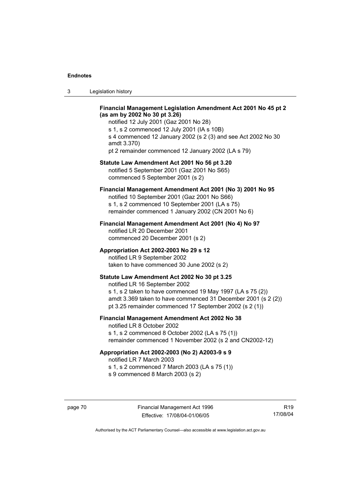| ు | Legislation history |  |
|---|---------------------|--|
|---|---------------------|--|

## **Financial Management Legislation Amendment Act 2001 No 45 pt 2 (as am by 2002 No 30 pt 3.26)**

notified 12 July 2001 (Gaz 2001 No 28) s 1, s 2 commenced 12 July 2001 (IA s 10B) s 4 commenced 12 January 2002 (s 2 (3) and see Act 2002 No 30 amdt 3.370) pt 2 remainder commenced 12 January 2002 (LA s 79)

#### **Statute Law Amendment Act 2001 No 56 pt 3.20**

notified 5 September 2001 (Gaz 2001 No S65) commenced 5 September 2001 (s 2)

# **Financial Management Amendment Act 2001 (No 3) 2001 No 95**

notified 10 September 2001 (Gaz 2001 No S66) s 1, s 2 commenced 10 September 2001 (LA s 75) remainder commenced 1 January 2002 (CN 2001 No 6)

#### **Financial Management Amendment Act 2001 (No 4) No 97**

notified LR 20 December 2001 commenced 20 December 2001 (s 2)

## **Appropriation Act 2002-2003 No 29 s 12**

notified LR 9 September 2002 taken to have commenced 30 June 2002 (s 2)

## **Statute Law Amendment Act 2002 No 30 pt 3.25**

notified LR 16 September 2002 s 1, s 2 taken to have commenced 19 May 1997 (LA s 75 (2)) amdt 3.369 taken to have commenced 31 December 2001 (s 2 (2)) pt 3.25 remainder commenced 17 September 2002 (s 2 (1))

# **Financial Management Amendment Act 2002 No 38**

notified LR 8 October 2002 s 1, s 2 commenced 8 October 2002 (LA s 75 (1)) remainder commenced 1 November 2002 (s 2 and CN2002-12)

#### **Appropriation Act 2002-2003 (No 2) A2003-9 s 9**

notified LR 7 March 2003

s 1, s 2 commenced 7 March 2003 (LA s 75 (1))

s 9 commenced 8 March 2003 (s 2)

R19 17/08/04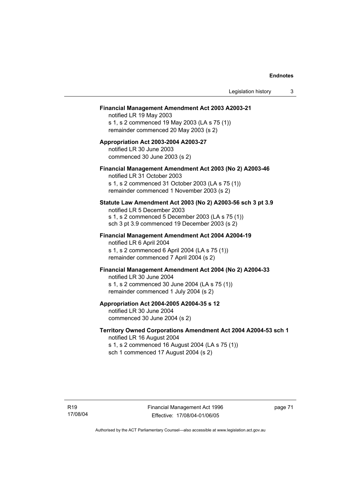#### **Financial Management Amendment Act 2003 A2003-21**

notified LR 19 May 2003 s 1, s 2 commenced 19 May 2003 (LA s 75 (1)) remainder commenced 20 May 2003 (s 2)

# **Appropriation Act 2003-2004 A2003-27**  notified LR 30 June 2003 commenced 30 June 2003 (s 2)

#### **Financial Management Amendment Act 2003 (No 2) A2003-46**

notified LR 31 October 2003 s 1, s 2 commenced 31 October 2003 (LA s 75 (1)) remainder commenced 1 November 2003 (s 2)

#### **Statute Law Amendment Act 2003 (No 2) A2003-56 sch 3 pt 3.9**

notified LR 5 December 2003 s 1, s 2 commenced 5 December 2003 (LA s 75 (1)) sch 3 pt 3.9 commenced 19 December 2003 (s 2)

# **Financial Management Amendment Act 2004 A2004-19**  notified LR 6 April 2004

s 1, s 2 commenced 6 April 2004 (LA s 75 (1)) remainder commenced 7 April 2004 (s 2)

#### **Financial Management Amendment Act 2004 (No 2) A2004-33**

notified LR 30 June 2004 s 1, s 2 commenced 30 June 2004 (LA s 75 (1)) remainder commenced 1 July 2004 (s 2)

## **Appropriation Act 2004-2005 A2004-35 s 12**

notified LR 30 June 2004 commenced 30 June 2004 (s 2)

## **Territory Owned Corporations Amendment Act 2004 A2004-53 sch 1**  notified LR 16 August 2004

s 1, s 2 commenced 16 August 2004 (LA s 75 (1)) sch 1 commenced 17 August 2004 (s 2)

page 71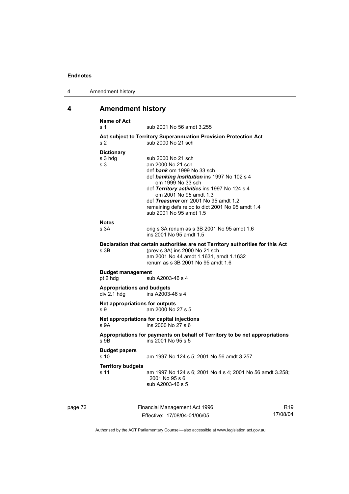| 4 | Amendment history |
|---|-------------------|
|---|-------------------|

# **4 Amendment history**

|         | <b>Name of Act</b><br>s 1                        | sub 2001 No 56 amdt 3.255                                                                                                                                                                                                                                                                                                                  |                 |
|---------|--------------------------------------------------|--------------------------------------------------------------------------------------------------------------------------------------------------------------------------------------------------------------------------------------------------------------------------------------------------------------------------------------------|-----------------|
|         | s <sub>2</sub>                                   | Act subject to Territory Superannuation Provision Protection Act<br>sub 2000 No 21 sch                                                                                                                                                                                                                                                     |                 |
|         | <b>Dictionary</b><br>s 3 hdg<br>s <sub>3</sub>   | sub 2000 No 21 sch<br>am 2000 No 21 sch<br>def bank om 1999 No 33 sch<br>def banking institution ins 1997 No 102 s 4<br>om 1999 No 33 sch<br>def Territory activities ins 1997 No 124 s 4<br>om 2001 No 95 amdt 1.3<br>def Treasurer om 2001 No 95 amdt 1.2<br>remaining defs reloc to dict 2001 No 95 amdt 1.4<br>sub 2001 No 95 amdt 1.5 |                 |
|         | <b>Notes</b><br>s 3A                             | orig s 3A renum as s 3B 2001 No 95 amdt 1.6<br>ins 2001 No 95 amdt 1.5                                                                                                                                                                                                                                                                     |                 |
|         | s 3B                                             | Declaration that certain authorities are not Territory authorities for this Act<br>(prev s 3A) ins 2000 No 21 sch<br>am 2001 No 44 amdt 1.1631, amdt 1.1632<br>renum as s 3B 2001 No 95 amdt 1.6                                                                                                                                           |                 |
|         | <b>Budget management</b><br>pt 2 hdg             | sub A2003-46 s 4                                                                                                                                                                                                                                                                                                                           |                 |
|         | <b>Appropriations and budgets</b><br>div 2.1 hdg | ins A2003-46 s 4                                                                                                                                                                                                                                                                                                                           |                 |
|         | Net appropriations for outputs<br>S <sub>9</sub> | am 2000 No 27 s 5                                                                                                                                                                                                                                                                                                                          |                 |
|         | S.9A                                             | Net appropriations for capital injections<br>ins 2000 No 27 s 6                                                                                                                                                                                                                                                                            |                 |
|         | $S$ 9B                                           | Appropriations for payments on behalf of Territory to be net appropriations<br>ins 2001 No 95 s 5                                                                                                                                                                                                                                          |                 |
|         | <b>Budget papers</b><br>s <sub>10</sub>          | am 1997 No 124 s 5; 2001 No 56 amdt 3.257                                                                                                                                                                                                                                                                                                  |                 |
|         | <b>Territory budgets</b><br>s 11                 | am 1997 No 124 s 6; 2001 No 4 s 4; 2001 No 56 amdt 3.258;<br>2001 No 95 s 6<br>sub A2003-46 s 5                                                                                                                                                                                                                                            |                 |
| page 72 |                                                  | Financial Management Act 1996                                                                                                                                                                                                                                                                                                              | R <sub>19</sub> |

Effective: 17/08/04-01/06/05

R19 17/08/04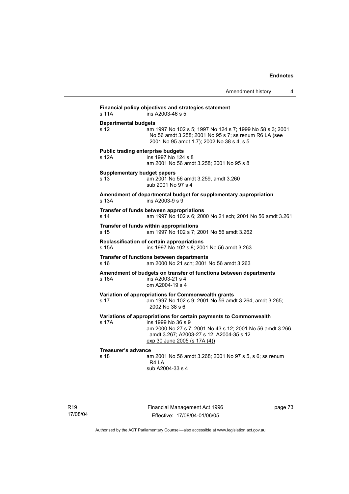Amendment history 4 **Financial policy objectives and strategies statement**  s 11A ins A2003-46 s 5 **Departmental budgets** s 12 am 1997 No 102 s 5; 1997 No 124 s 7; 1999 No 58 s 3; 2001 No 56 amdt 3.258; 2001 No 95 s 7; ss renum R6 LA (see 2001 No 95 amdt 1.7); 2002 No 38 s 4, s 5 **Public trading enterprise budgets** s 12A ins 1997 No 124 s 8 am 2001 No 56 amdt 3.258; 2001 No 95 s 8 **Supplementary budget papers**  s 13 am 2001 No 56 amdt 3.259, amdt 3.260 sub 2001 No 97 s 4 **Amendment of departmental budget for supplementary appropriation**  s 13A ins A2003-9 s 9 **Transfer of funds between appropriations** s 14 am 1997 No 102 s 6; 2000 No 21 sch; 2001 No 56 amdt 3.261 **Transfer of funds within appropriations** s 15 am 1997 No 102 s 7; 2001 No 56 amdt 3.262 **Reclassification of certain appropriations**<br>s 15A ins 1997 No 102 s 8: 200 ins 1997 No 102 s 8; 2001 No 56 amdt 3.263 **Transfer of functions between departments** s 16 am 2000 No 21 sch; 2001 No 56 amdt 3.263 **Amendment of budgets on transfer of functions between departments**  s 16A ins A2003-21 s 4 om A2004-19 s 4 **Variation of appropriations for Commonwealth grants** s 17 am 1997 No 102 s 9; 2001 No 56 amdt 3.264, amdt 3.265; 2002 No 38 s 6 **Variations of appropriations for certain payments to Commonwealth** s 17A ins 1999 No 36 s 9 am 2000 No 27 s 7; 2001 No 43 s 12; 2001 No 56 amdt 3.266, amdt 3.267; A2003-27 s 12; A2004-35 s 12 exp 30 June 2005 (s 17A (4)) **Treasurer's advance**  am 2001 No 56 amdt 3.268; 2001 No 97 s 5, s 6; ss renum R4 LA sub A2004-33 s 4

Financial Management Act 1996 Effective: 17/08/04-01/06/05

page 73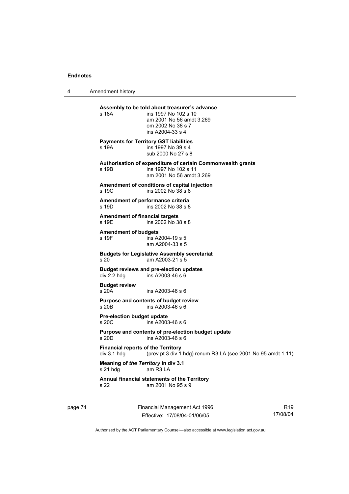4 Amendment history

| s 18A                                                    | Assembly to be told about treasurer's advance<br>ins 1997 No 102 s 10<br>am 2001 No 56 amdt 3.269<br>om 2002 No 38 s 7<br>ins A2004-33 s 4 |
|----------------------------------------------------------|--------------------------------------------------------------------------------------------------------------------------------------------|
| s 19A                                                    | <b>Payments for Territory GST liabilities</b><br>ins 1997 No 39 s 4<br>sub 2000 No 27 s 8                                                  |
| s 19B                                                    | Authorisation of expenditure of certain Commonwealth grants<br>ins 1997 No 102 s 11<br>am 2001 No 56 amdt 3.269                            |
| s 19C                                                    | Amendment of conditions of capital injection<br>ins 2002 No 38 s 8                                                                         |
| s 19D                                                    | Amendment of performance criteria<br>ins 2002 No 38 s 8                                                                                    |
| <b>Amendment of financial targets</b><br>s 19E           | ins 2002 No 38 s 8                                                                                                                         |
| <b>Amendment of budgets</b><br>s 19F                     | ins A2004-19 s 5<br>am A2004-33 s 5                                                                                                        |
| s <sub>20</sub>                                          | <b>Budgets for Legislative Assembly secretariat</b><br>am A2003-21 s 5                                                                     |
| div 2.2 hdg                                              | <b>Budget reviews and pre-election updates</b><br>ins A2003-46 s 6                                                                         |
| <b>Budget review</b><br>s20A                             | ins A2003-46 s 6                                                                                                                           |
| s 20 <sub>B</sub>                                        | Purpose and contents of budget review<br>ins A2003-46 s 6                                                                                  |
| <b>Pre-election budget update</b><br>s 20C               | ins A2003-46 s 6                                                                                                                           |
| $s$ 20D                                                  | Purpose and contents of pre-election budget update<br>ins A2003-46 s 6                                                                     |
| <b>Financial reports of the Territory</b><br>div 3.1 hdg | (prev pt 3 div 1 hdg) renum R3 LA (see 2001 No 95 amdt 1.11)                                                                               |
| Meaning of the Territory in div 3.1<br>s 21 hdg          | am R3 LA                                                                                                                                   |
| s 22                                                     | Annual financial statements of the Territory<br>am 2001 No 95 s 9                                                                          |
|                                                          |                                                                                                                                            |

page 74 Financial Management Act 1996 Effective: 17/08/04-01/06/05

R19 17/08/04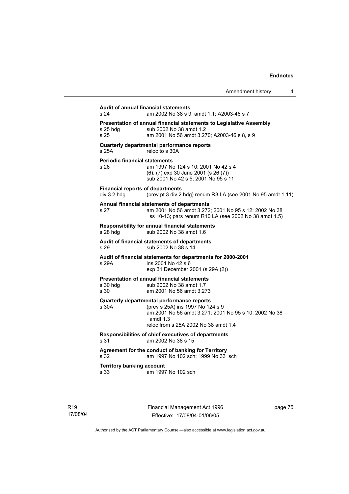| <b>Audit of annual financial statements</b><br>s 24<br>am 2002 No 38 s 9, amdt 1.1; A2003-46 s 7 |                                                                                                                                                                                               |  |  |
|--------------------------------------------------------------------------------------------------|-----------------------------------------------------------------------------------------------------------------------------------------------------------------------------------------------|--|--|
| s 25 hdg<br>s <sub>25</sub>                                                                      | Presentation of annual financial statements to Legislative Assembly<br>sub 2002 No 38 amdt 1.2<br>am 2001 No 56 amdt 3.270; A2003-46 s 8, s 9                                                 |  |  |
| s 25A                                                                                            | Quarterly departmental performance reports<br>reloc to s 30A                                                                                                                                  |  |  |
| <b>Periodic financial statements</b><br>s 26                                                     | am 1997 No 124 s 10; 2001 No 42 s 4<br>(6), (7) exp 30 June 2001 (s 26 (7))<br>sub 2001 No 42 s 5; 2001 No 95 s 11                                                                            |  |  |
| <b>Financial reports of departments</b><br>div 3.2 hdg                                           | (prev pt 3 div 2 hdg) renum R3 LA (see 2001 No 95 amdt 1.11)                                                                                                                                  |  |  |
| s 27                                                                                             | Annual financial statements of departments<br>am 2001 No 56 amdt 3.272; 2001 No 95 s 12; 2002 No 38<br>ss 10-13; pars renum R10 LA (see 2002 No 38 amdt 1.5)                                  |  |  |
| s 28 hdg                                                                                         | Responsibility for annual financial statements<br>sub 2002 No 38 amdt 1.6                                                                                                                     |  |  |
| s 29                                                                                             | Audit of financial statements of departments<br>sub 2002 No 38 s 14                                                                                                                           |  |  |
| s 29A                                                                                            | Audit of financial statements for departments for 2000-2001<br>ins 2001 No 42 s 6<br>exp 31 December 2001 (s 29A (2))                                                                         |  |  |
| s 30 hdq<br>s 30                                                                                 | <b>Presentation of annual financial statements</b><br>sub 2002 No 38 amdt 1.7<br>am 2001 No 56 amdt 3.273                                                                                     |  |  |
| s 30A                                                                                            | Quarterly departmental performance reports<br>(prev s 25A) ins 1997 No 124 s 9<br>am 2001 No 56 amdt 3.271; 2001 No 95 s 10; 2002 No 38<br>amdt $1.3$<br>reloc from s 25A 2002 No 38 amdt 1.4 |  |  |
| s 31                                                                                             | Responsibilities of chief executives of departments<br>am 2002 No 38 s 15                                                                                                                     |  |  |
| s 32                                                                                             | Agreement for the conduct of banking for Territory<br>am 1997 No 102 sch; 1999 No 33 sch                                                                                                      |  |  |
| <b>Territory banking account</b><br>s 33                                                         | am 1997 No 102 sch                                                                                                                                                                            |  |  |

page 75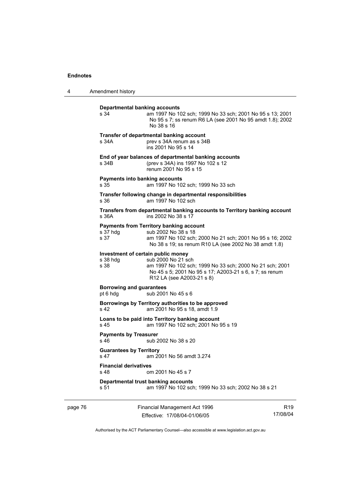4 Amendment history

| s 34                                              | <b>Departmental banking accounts</b><br>am 1997 No 102 sch; 1999 No 33 sch; 2001 No 95 s 13; 2001<br>No 95 s 7; ss renum R6 LA (see 2001 No 95 amdt 1.8); 2002<br>No 38 s 16                                 |
|---------------------------------------------------|--------------------------------------------------------------------------------------------------------------------------------------------------------------------------------------------------------------|
| s 34A                                             | Transfer of departmental banking account<br>prev s 34A renum as s 34B<br>ins 2001 No 95 s 14                                                                                                                 |
| s 34B                                             | End of year balances of departmental banking accounts<br>(prev s 34A) ins 1997 No 102 s 12<br>renum 2001 No 95 s 15                                                                                          |
| s 35                                              | <b>Payments into banking accounts</b><br>am 1997 No 102 sch; 1999 No 33 sch                                                                                                                                  |
| s 36                                              | Transfer following change in departmental responsibilities<br>am 1997 No 102 sch                                                                                                                             |
| s 36A                                             | Transfers from departmental banking accounts to Territory banking account<br>ins 2002 No 38 s 17                                                                                                             |
| s 37 hdg<br>s 37                                  | <b>Payments from Territory banking account</b><br>sub 2002 No 38 s 18<br>am 1997 No 102 sch; 2000 No 21 sch; 2001 No 95 s 16; 2002<br>No 38 s 19; ss renum R10 LA (see 2002 No 38 amdt 1.8)                  |
| s 38 hdg<br>s 38                                  | Investment of certain public money<br>sub 2000 No 21 sch<br>am 1997 No 102 sch; 1999 No 33 sch; 2000 No 21 sch; 2001<br>No 45 s 5; 2001 No 95 s 17; A2003-21 s 6, s 7; ss renum<br>R12 LA (see A2003-21 s 8) |
| <b>Borrowing and guarantees</b><br>pt 6 hdg       | sub 2001 No 45 s 6                                                                                                                                                                                           |
| s 42                                              | Borrowings by Territory authorities to be approved<br>am 2001 No 95 s 18, amdt 1.9                                                                                                                           |
| s <sub>45</sub>                                   | Loans to be paid into Territory banking account<br>am 1997 No 102 sch; 2001 No 95 s 19                                                                                                                       |
| <b>Payments by Treasurer</b><br>s 46              | sub 2002 No 38 s 20                                                                                                                                                                                          |
| <b>Guarantees by Territory</b><br>s <sub>47</sub> | am 2001 No 56 amdt 3.274                                                                                                                                                                                     |
| <b>Financial derivatives</b><br>s 48              | om 2001 No 45 s 7                                                                                                                                                                                            |
| s 51                                              | Departmental trust banking accounts<br>am 1997 No 102 sch; 1999 No 33 sch; 2002 No 38 s 21                                                                                                                   |

page 76 Financial Management Act 1996 Effective: 17/08/04-01/06/05

R19 17/08/04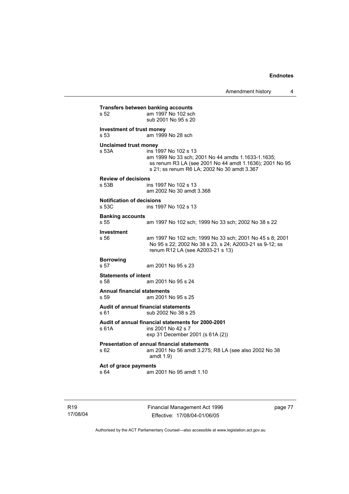**Transfers between banking accounts**<br>s 52 am 1997 No 102 scl am 1997 No 102 sch sub 2001 No 95 s 20 **Investment of trust money**  s 53 am 1999 No 28 sch **Unclaimed trust money**  s 53A ins 1997 No 102 s 13 am 1999 No 33 sch; 2001 No 44 amdts 1.1633-1.1635; ss renum R3 LA (see 2001 No 44 amdt 1.1636); 2001 No 95 s 21; ss renum R6 LA; 2002 No 30 amdt 3.367 **Review of decisions**  ins 1997 No 102 s 13 am 2002 No 30 amdt 3.368 **Notification of decisions**  s 53C ins 1997 No 102 s 13 **Banking accounts**  am 1997 No 102 sch; 1999 No 33 sch; 2002 No 38 s 22 **Investment**  s 56 am 1997 No 102 sch; 1999 No 33 sch; 2001 No 45 s 8; 2001 No 95 s 22; 2002 No 38 s 23, s 24; A2003-21 ss 9-12; ss renum R12 LA (see A2003-21 s 13) **Borrowing**  s 57 am 2001 No 95 s 23 **Statements of intent**  s 58 am 2001 No 95 s 24 **Annual financial statements**  s 59 am 2001 No 95 s 25 **Audit of annual financial statements**  s 61 sub 2002 No 38 s 25 **Audit of annual financial statements for 2000-2001**  s 61A ins 2001 No 42 s 7 exp 31 December 2001 (s 61A (2)) **Presentation of annual financial statements**  s 62 am 2001 No 56 amdt 3.275; R8 LA (see also 2002 No 38 amdt 1.9) **Act of grace payments**  s 64 am 2001 No 95 amdt 1.10

R19 17/08/04 Financial Management Act 1996 Effective: 17/08/04-01/06/05

page 77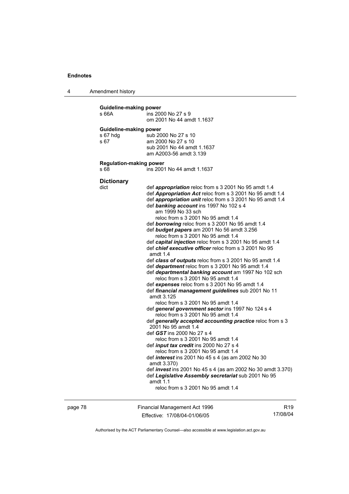4 Amendment history

| Guideline-making power<br>s 66A            | ins 2000 No 27 s 9<br>om 2001 No 44 amdt 1.1637                                                                                                                                                                                                                                                                                                                                                                                                                                                                                                                                                                                                                                                                                                                                                                                                                                                                                                                                                                                                                                                                                                                                                                                                                                                                                                                                                                                                                                                                                                                      |
|--------------------------------------------|----------------------------------------------------------------------------------------------------------------------------------------------------------------------------------------------------------------------------------------------------------------------------------------------------------------------------------------------------------------------------------------------------------------------------------------------------------------------------------------------------------------------------------------------------------------------------------------------------------------------------------------------------------------------------------------------------------------------------------------------------------------------------------------------------------------------------------------------------------------------------------------------------------------------------------------------------------------------------------------------------------------------------------------------------------------------------------------------------------------------------------------------------------------------------------------------------------------------------------------------------------------------------------------------------------------------------------------------------------------------------------------------------------------------------------------------------------------------------------------------------------------------------------------------------------------------|
| Guideline-making power<br>s 67 hdg<br>s 67 | sub 2000 No 27 s 10<br>am 2000 No 27 s 10<br>sub 2001 No 44 amdt 1.1637<br>am A2003-56 amdt 3.139                                                                                                                                                                                                                                                                                                                                                                                                                                                                                                                                                                                                                                                                                                                                                                                                                                                                                                                                                                                                                                                                                                                                                                                                                                                                                                                                                                                                                                                                    |
| <b>Regulation-making power</b><br>s 68     | ins 2001 No 44 amdt 1.1637                                                                                                                                                                                                                                                                                                                                                                                                                                                                                                                                                                                                                                                                                                                                                                                                                                                                                                                                                                                                                                                                                                                                                                                                                                                                                                                                                                                                                                                                                                                                           |
| <b>Dictionary</b><br>dict                  | def appropriation reloc from s 3 2001 No 95 amdt 1.4<br>def Appropriation Act reloc from s 3 2001 No 95 amdt 1.4<br>def appropriation unit reloc from s 3 2001 No 95 amdt 1.4<br>def banking account ins 1997 No 102 s 4<br>am 1999 No 33 sch<br>reloc from s 3 2001 No 95 amdt 1.4<br>def <b>borrowing</b> reloc from s 3 2001 No 95 amdt 1.4<br>def <b>budget papers</b> am 2001 No 56 amdt 3.256<br>reloc from s 3 2001 No 95 amdt 1.4<br>def capital injection reloc from s 3 2001 No 95 amdt 1.4<br>def <i>chief executive officer</i> reloc from s 3 2001 No 95<br>amdt $1.4$<br>def class of outputs reloc from s 3 2001 No 95 amdt 1.4<br>def department reloc from s 3 2001 No 95 amdt 1.4<br>def departmental banking account am 1997 No 102 sch<br>reloc from s 3 2001 No 95 amdt 1.4<br>def expenses reloc from s 3 2001 No 95 amdt 1.4<br>def financial management guidelines sub 2001 No 11<br>amdt 3.125<br>reloc from s 3 2001 No 95 amdt 1.4<br>def general government sector ins 1997 No 124 s 4<br>reloc from s 3 2001 No 95 amdt 1.4<br>def generally accepted accounting practice reloc from s 3<br>2001 No 95 amdt 1.4<br>def GST ins 2000 No 27 s 4<br>reloc from s 3 2001 No 95 amdt 1.4<br>def <i>input tax credit</i> ins 2000 No 27 s 4<br>reloc from s 3 2001 No 95 amdt 1.4<br>def <i>interest</i> ins 2001 No 45 s 4 (as am 2002 No 30<br>amdt 3.370)<br>def <i>invest</i> ins 2001 No 45 s 4 (as am 2002 No 30 amdt 3.370)<br>def Legislative Assembly secretariat sub 2001 No 95<br>amdt $1.1$<br>reloc from s 3 2001 No 95 amdt 1.4 |

page 78 Financial Management Act 1996 Effective: 17/08/04-01/06/05

R19 17/08/04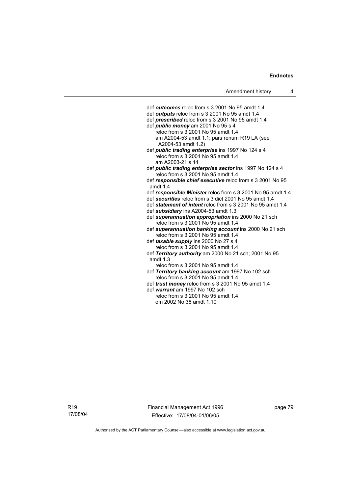def *outcomes* reloc from s 3 2001 No 95 amdt 1.4 def *outputs* reloc from s 3 2001 No 95 amdt 1.4 def *prescribed* reloc from s 3 2001 No 95 amdt 1.4 def *public money* am 2001 No 95 s 4 reloc from s 3 2001 No 95 amdt 1.4 am A2004-53 amdt 1.1; pars renum R19 LA (see A2004-53 amdt 1.2) def *public trading enterprise* ins 1997 No 124 s 4 reloc from s 3 2001 No 95 amdt 1.4 am A2003-21 s 14 def *public trading enterprise sector* ins 1997 No 124 s 4 reloc from s 3 2001 No 95 amdt 1.4 def *responsible chief executive* reloc from s 3 2001 No 95 amdt 1.4 def *responsible Minister* reloc from s 3 2001 No 95 amdt 1.4 def *securities* reloc from s 3 dict 2001 No 95 amdt 1.4 def *statement of intent* reloc from s 3 2001 No 95 amdt 1.4 def *subsidiary* ins A2004-53 amdt 1.3 def *superannuation appropriation* ins 2000 No 21 sch reloc from s 3 2001 No 95 amdt 1.4 def *superannuation banking account* ins 2000 No 21 sch reloc from s 3 2001 No 95 amdt 1.4 def *taxable supply* ins 2000 No 27 s 4 reloc from s 3 2001 No 95 amdt 1.4 def *Territory authority* am 2000 No 21 sch; 2001 No 95 amdt 1.3 reloc from s 3 2001 No 95 amdt 1.4 def *Territory banking account* am 1997 No 102 sch reloc from s 3 2001 No 95 amdt 1.4 def *trust money* reloc from s 3 2001 No 95 amdt 1.4 def *warrant* am 1997 No 102 sch

 reloc from s 3 2001 No 95 amdt 1.4 om 2002 No 38 amdt 1.10

R19 17/08/04 Financial Management Act 1996 Effective: 17/08/04-01/06/05

page 79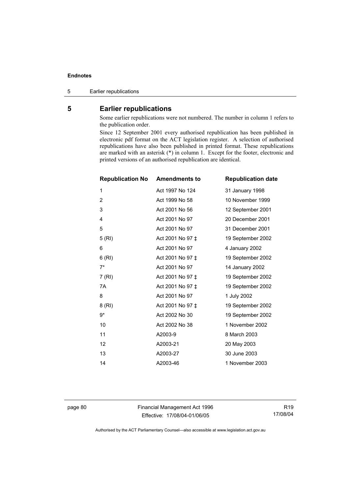5 Earlier republications

# **5 Earlier republications**

Some earlier republications were not numbered. The number in column 1 refers to the publication order.

Since 12 September 2001 every authorised republication has been published in electronic pdf format on the ACT legislation register. A selection of authorised republications have also been published in printed format. These republications are marked with an asterisk (\*) in column 1. Except for the footer, electronic and printed versions of an authorised republication are identical.

| <b>Republication No Amendments to</b> |                  | <b>Republication date</b> |
|---------------------------------------|------------------|---------------------------|
| 1                                     | Act 1997 No 124  | 31 January 1998           |
| 2                                     | Act 1999 No 58   | 10 November 1999          |
| 3                                     | Act 2001 No 56   | 12 September 2001         |
| 4                                     | Act 2001 No 97   | 20 December 2001          |
| 5                                     | Act 2001 No 97   | 31 December 2001          |
| 5(RI)                                 | Act 2001 No 97 ‡ | 19 September 2002         |
| 6                                     | Act 2001 No 97   | 4 January 2002            |
| 6(RI)                                 | Act 2001 No 97 ‡ | 19 September 2002         |
| $7^*$                                 | Act 2001 No 97   | 14 January 2002           |
| 7 (RI)                                | Act 2001 No 97 ‡ | 19 September 2002         |
| 7A                                    | Act 2001 No 97 ± | 19 September 2002         |
| 8                                     | Act 2001 No 97   | 1 July 2002               |
| 8(RI)                                 | Act 2001 No 97 ‡ | 19 September 2002         |
| 9*                                    | Act 2002 No 30   | 19 September 2002         |
| 10                                    | Act 2002 No 38   | 1 November 2002           |
| 11                                    | A2003-9          | 8 March 2003              |
| 12                                    | A2003-21         | 20 May 2003               |
| 13                                    | A2003-27         | 30 June 2003              |
| 14                                    | A2003-46         | 1 November 2003           |

page 80 Financial Management Act 1996 Effective: 17/08/04-01/06/05

R19 17/08/04